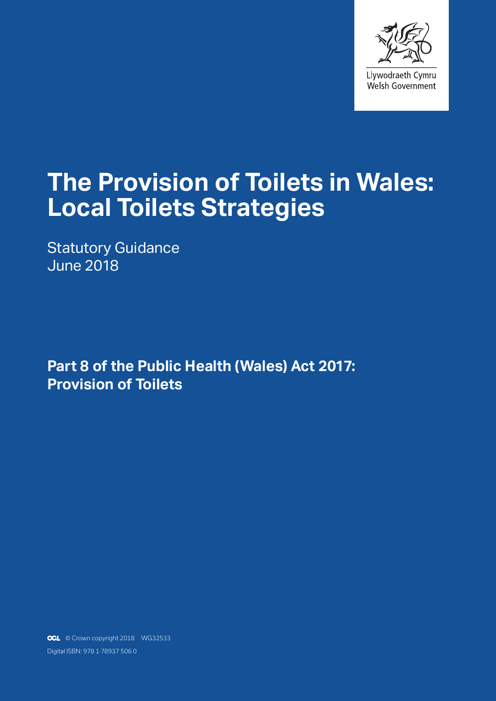

# **The Provision of Toilets in Wales: Local Toilets Strategies**

Statutory Guidance June 2018

**Part 8 of the Public Health (Wales) Act 2017: Provision of Toilets**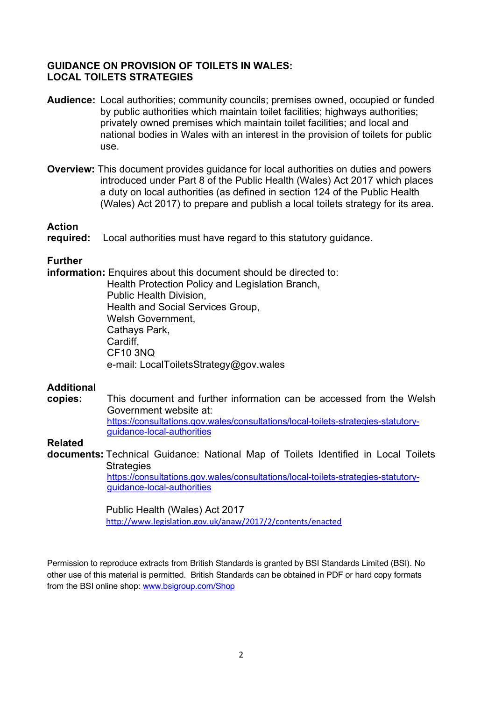#### **GUIDANCE ON PROVISION OF TOILETS IN WALES: LOCAL TOILETS STRATEGIES**

- **Audience:** Local authorities; community councils; premises owned, occupied or funded by public authorities which maintain toilet facilities; highways authorities; privately owned premises which maintain toilet facilities; and local and national bodies in Wales with an interest in the provision of toilets for public use.
- **Overview:** This document provides guidance for local authorities on duties and powers introduced under Part 8 of the Public Health (Wales) Act 2017 which places a duty on local authorities (as defined in section 124 of the Public Health (Wales) Act 2017) to prepare and publish a local toilets strategy for its area.

#### **Action**

**required:** Local authorities must have regard to this statutory guidance.

#### **Further**

**information:** Enquires about this document should be directed to:

Health Protection Policy and Legislation Branch, Public Health Division, Health and Social Services Group, Welsh Government, Cathays Park, Cardiff, CF10 3NQ e-mail: LocalToiletsStrategy@gov.wales

#### **Additional**

**copies:** This document and further information can be accessed from the Welsh Government website at: https://consultations.gov.wales/consultations/local-toilets-strategies-statutoryguidance-local-authorities

#### **Related**

**documents:** Technical Guidance: National Map of Toilets Identified in Local Toilets **Strategies** https://consultations.gov.wales/consultations/local-toilets-strategies-statutoryguidance-local-authorities

#### Public Health (Wales) Act 2017 http://www.legislation.gov.uk/anaw/2017/2/contents/enacted

Permission to reproduce extracts from British Standards is granted by BSI Standards Limited (BSI). No other use of this material is permitted. British Standards can be obtained in PDF or hard copy formats from the BSI online shop: www.bsigroup.com/Shop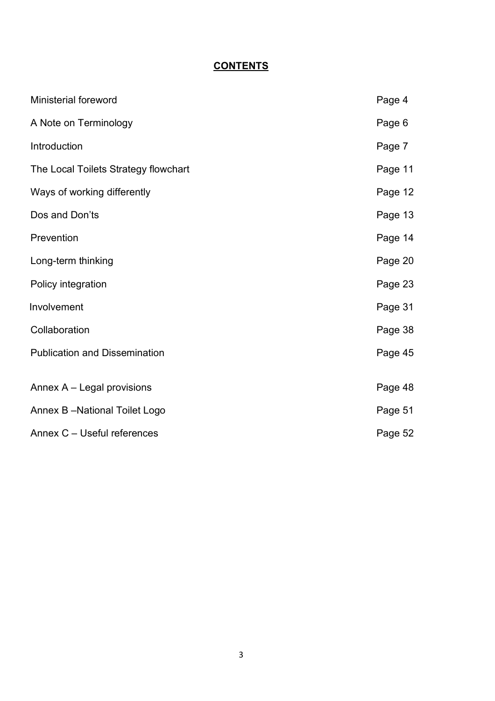# **CONTENTS**

| Ministerial foreword                 | Page 4  |
|--------------------------------------|---------|
| A Note on Terminology                | Page 6  |
| Introduction                         | Page 7  |
| The Local Toilets Strategy flowchart | Page 11 |
| Ways of working differently          | Page 12 |
| Dos and Don'ts                       | Page 13 |
| Prevention                           | Page 14 |
| Long-term thinking                   | Page 20 |
| Policy integration                   | Page 23 |
| Involvement                          | Page 31 |
| Collaboration                        | Page 38 |
| <b>Publication and Dissemination</b> | Page 45 |
| Annex A - Legal provisions           | Page 48 |
|                                      |         |
| Annex B-National Toilet Logo         | Page 51 |
| Annex C - Useful references          | Page 52 |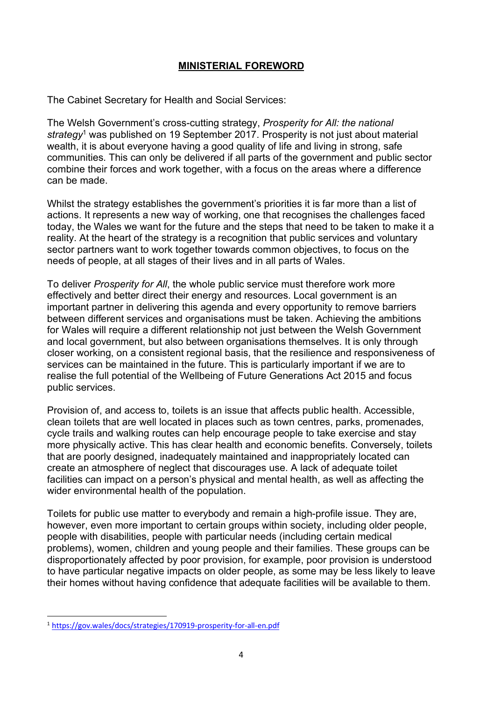## **MINISTERIAL FOREWORD**

The Cabinet Secretary for Health and Social Services:

The Welsh Government's cross-cutting strategy, *Prosperity for All: the national strategy*<sup>1</sup> was published on 19 September 2017. Prosperity is not just about material wealth, it is about everyone having a good quality of life and living in strong, safe communities. This can only be delivered if all parts of the government and public sector combine their forces and work together, with a focus on the areas where a difference can be made.

Whilst the strategy establishes the government's priorities it is far more than a list of actions. It represents a new way of working, one that recognises the challenges faced today, the Wales we want for the future and the steps that need to be taken to make it a reality. At the heart of the strategy is a recognition that public services and voluntary sector partners want to work together towards common objectives, to focus on the needs of people, at all stages of their lives and in all parts of Wales.

To deliver *Prosperity for All*, the whole public service must therefore work more effectively and better direct their energy and resources. Local government is an important partner in delivering this agenda and every opportunity to remove barriers between different services and organisations must be taken. Achieving the ambitions for Wales will require a different relationship not just between the Welsh Government and local government, but also between organisations themselves. It is only through closer working, on a consistent regional basis, that the resilience and responsiveness of services can be maintained in the future. This is particularly important if we are to realise the full potential of the Wellbeing of Future Generations Act 2015 and focus public services.

Provision of, and access to, toilets is an issue that affects public health. Accessible, clean toilets that are well located in places such as town centres, parks, promenades, cycle trails and walking routes can help encourage people to take exercise and stay more physically active. This has clear health and economic benefits. Conversely, toilets that are poorly designed, inadequately maintained and inappropriately located can create an atmosphere of neglect that discourages use. A lack of adequate toilet facilities can impact on a person's physical and mental health, as well as affecting the wider environmental health of the population.

Toilets for public use matter to everybody and remain a high-profile issue. They are, however, even more important to certain groups within society, including older people, people with disabilities, people with particular needs (including certain medical problems), women, children and young people and their families. These groups can be disproportionately affected by poor provision, for example, poor provision is understood to have particular negative impacts on older people, as some may be less likely to leave their homes without having confidence that adequate facilities will be available to them.

 <sup>1</sup> https://gov.wales/docs/strategies/170919-prosperity-for-all-en.pdf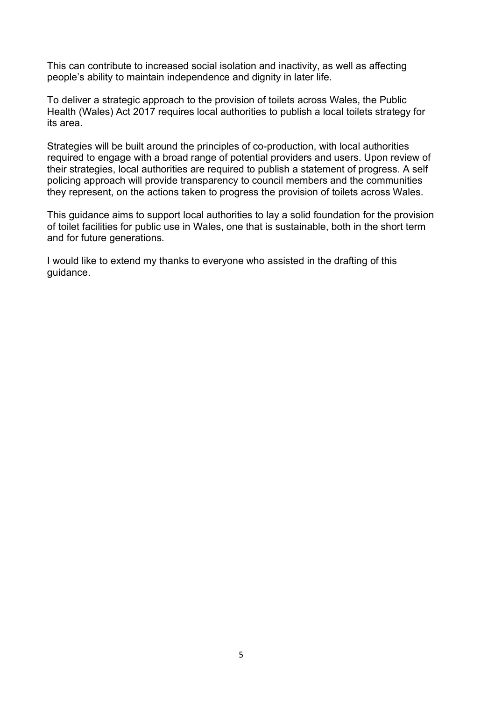This can contribute to increased social isolation and inactivity, as well as affecting people's ability to maintain independence and dignity in later life.

To deliver a strategic approach to the provision of toilets across Wales, the Public Health (Wales) Act 2017 requires local authorities to publish a local toilets strategy for its area.

Strategies will be built around the principles of co-production, with local authorities required to engage with a broad range of potential providers and users. Upon review of their strategies, local authorities are required to publish a statement of progress. A self policing approach will provide transparency to council members and the communities they represent, on the actions taken to progress the provision of toilets across Wales.

This guidance aims to support local authorities to lay a solid foundation for the provision of toilet facilities for public use in Wales, one that is sustainable, both in the short term and for future generations.

I would like to extend my thanks to everyone who assisted in the drafting of this guidance.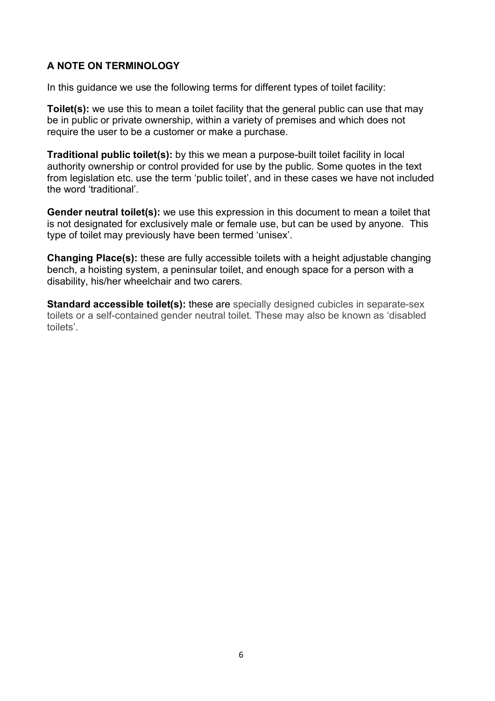# **A NOTE ON TERMINOLOGY**

In this guidance we use the following terms for different types of toilet facility:

**Toilet(s):** we use this to mean a toilet facility that the general public can use that may be in public or private ownership, within a variety of premises and which does not require the user to be a customer or make a purchase.

**Traditional public toilet(s):** by this we mean a purpose-built toilet facility in local authority ownership or control provided for use by the public. Some quotes in the text from legislation etc. use the term 'public toilet', and in these cases we have not included the word 'traditional'.

**Gender neutral toilet(s):** we use this expression in this document to mean a toilet that is not designated for exclusively male or female use, but can be used by anyone. This type of toilet may previously have been termed 'unisex'.

**Changing Place(s):** these are fully accessible toilets with a height adjustable changing bench, a hoisting system, a peninsular toilet, and enough space for a person with a disability, his/her wheelchair and two carers.

**Standard accessible toilet(s):** these are specially designed cubicles in separate-sex toilets or a self-contained gender neutral toilet. These may also be known as 'disabled toilets'.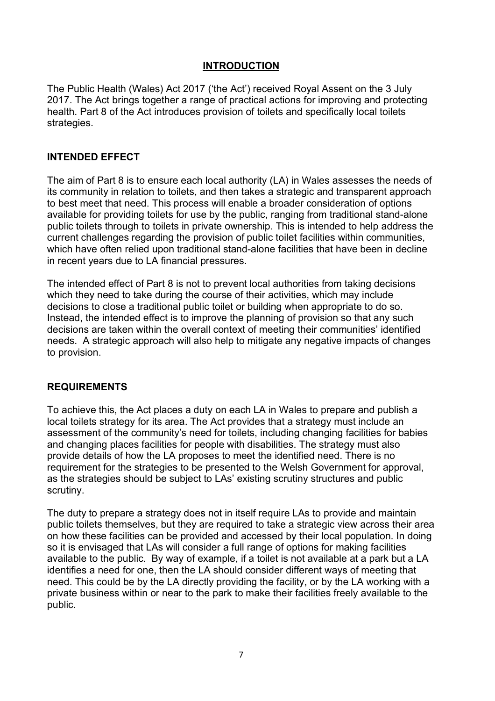# **INTRODUCTION**

The Public Health (Wales) Act 2017 ('the Act') received Royal Assent on the 3 July 2017. The Act brings together a range of practical actions for improving and protecting health. Part 8 of the Act introduces provision of toilets and specifically local toilets strategies.

#### **INTENDED EFFECT**

The aim of Part 8 is to ensure each local authority (LA) in Wales assesses the needs of its community in relation to toilets, and then takes a strategic and transparent approach to best meet that need. This process will enable a broader consideration of options available for providing toilets for use by the public, ranging from traditional stand-alone public toilets through to toilets in private ownership. This is intended to help address the current challenges regarding the provision of public toilet facilities within communities, which have often relied upon traditional stand-alone facilities that have been in decline in recent years due to LA financial pressures.

The intended effect of Part 8 is not to prevent local authorities from taking decisions which they need to take during the course of their activities, which may include decisions to close a traditional public toilet or building when appropriate to do so. Instead, the intended effect is to improve the planning of provision so that any such decisions are taken within the overall context of meeting their communities' identified needs. A strategic approach will also help to mitigate any negative impacts of changes to provision.

#### **REQUIREMENTS**

To achieve this, the Act places a duty on each LA in Wales to prepare and publish a local toilets strategy for its area. The Act provides that a strategy must include an assessment of the community's need for toilets, including changing facilities for babies and changing places facilities for people with disabilities. The strategy must also provide details of how the LA proposes to meet the identified need. There is no requirement for the strategies to be presented to the Welsh Government for approval, as the strategies should be subject to LAs' existing scrutiny structures and public scrutiny.

The duty to prepare a strategy does not in itself require LAs to provide and maintain public toilets themselves, but they are required to take a strategic view across their area on how these facilities can be provided and accessed by their local population. In doing so it is envisaged that LAs will consider a full range of options for making facilities available to the public. By way of example, if a toilet is not available at a park but a LA identifies a need for one, then the LA should consider different ways of meeting that need. This could be by the LA directly providing the facility, or by the LA working with a private business within or near to the park to make their facilities freely available to the public.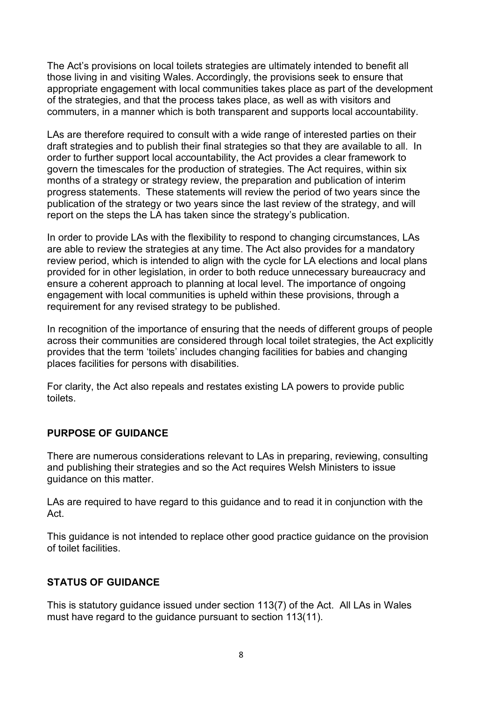The Act's provisions on local toilets strategies are ultimately intended to benefit all those living in and visiting Wales. Accordingly, the provisions seek to ensure that appropriate engagement with local communities takes place as part of the development of the strategies, and that the process takes place, as well as with visitors and commuters, in a manner which is both transparent and supports local accountability.

LAs are therefore required to consult with a wide range of interested parties on their draft strategies and to publish their final strategies so that they are available to all. In order to further support local accountability, the Act provides a clear framework to govern the timescales for the production of strategies. The Act requires, within six months of a strategy or strategy review, the preparation and publication of interim progress statements. These statements will review the period of two years since the publication of the strategy or two years since the last review of the strategy, and will report on the steps the LA has taken since the strategy's publication.

In order to provide LAs with the flexibility to respond to changing circumstances, LAs are able to review the strategies at any time. The Act also provides for a mandatory review period, which is intended to align with the cycle for LA elections and local plans provided for in other legislation, in order to both reduce unnecessary bureaucracy and ensure a coherent approach to planning at local level. The importance of ongoing engagement with local communities is upheld within these provisions, through a requirement for any revised strategy to be published.

In recognition of the importance of ensuring that the needs of different groups of people across their communities are considered through local toilet strategies, the Act explicitly provides that the term 'toilets' includes changing facilities for babies and changing places facilities for persons with disabilities.

For clarity, the Act also repeals and restates existing LA powers to provide public toilets.

## **PURPOSE OF GUIDANCE**

There are numerous considerations relevant to LAs in preparing, reviewing, consulting and publishing their strategies and so the Act requires Welsh Ministers to issue guidance on this matter.

LAs are required to have regard to this guidance and to read it in conjunction with the Act.

This guidance is not intended to replace other good practice guidance on the provision of toilet facilities.

## **STATUS OF GUIDANCE**

This is statutory guidance issued under section 113(7) of the Act. All LAs in Wales must have regard to the guidance pursuant to section 113(11).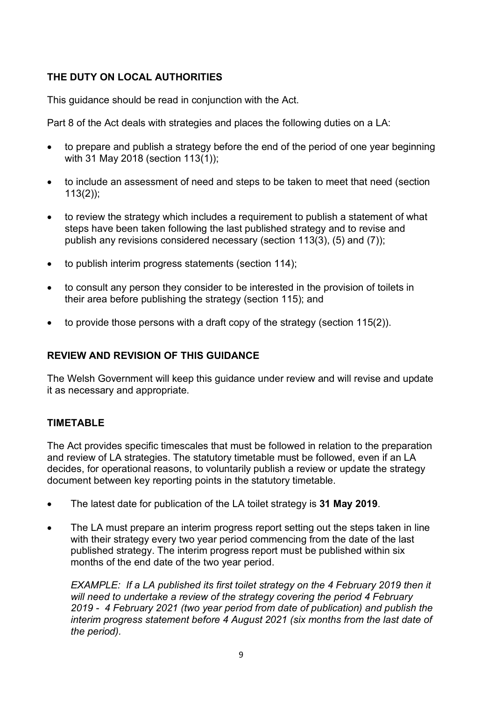# **THE DUTY ON LOCAL AUTHORITIES**

This guidance should be read in conjunction with the Act.

Part 8 of the Act deals with strategies and places the following duties on a LA:

- to prepare and publish a strategy before the end of the period of one year beginning with 31 May 2018 (section 113(1));
- to include an assessment of need and steps to be taken to meet that need (section 113(2));
- to review the strategy which includes a requirement to publish a statement of what steps have been taken following the last published strategy and to revise and publish any revisions considered necessary (section 113(3), (5) and (7));
- to publish interim progress statements (section 114);
- to consult any person they consider to be interested in the provision of toilets in their area before publishing the strategy (section 115); and
- to provide those persons with a draft copy of the strategy (section 115(2)).

# **REVIEW AND REVISION OF THIS GUIDANCE**

The Welsh Government will keep this guidance under review and will revise and update it as necessary and appropriate.

## **TIMETABLE**

The Act provides specific timescales that must be followed in relation to the preparation and review of LA strategies. The statutory timetable must be followed, even if an LA decides, for operational reasons, to voluntarily publish a review or update the strategy document between key reporting points in the statutory timetable.

- The latest date for publication of the LA toilet strategy is **31 May 2019**.
- The LA must prepare an interim progress report setting out the steps taken in line with their strategy every two year period commencing from the date of the last published strategy. The interim progress report must be published within six months of the end date of the two year period.

*EXAMPLE: If a LA published its first toilet strategy on the 4 February 2019 then it will need to undertake a review of the strategy covering the period 4 February 2019 - 4 February 2021 (two year period from date of publication) and publish the interim progress statement before 4 August 2021 (six months from the last date of the period).*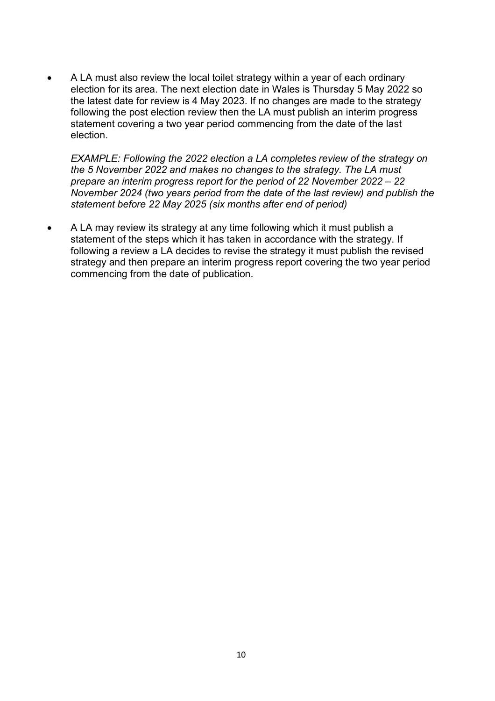• A LA must also review the local toilet strategy within a year of each ordinary election for its area. The next election date in Wales is Thursday 5 May 2022 so the latest date for review is 4 May 2023. If no changes are made to the strategy following the post election review then the LA must publish an interim progress statement covering a two year period commencing from the date of the last election.

*EXAMPLE: Following the 2022 election a LA completes review of the strategy on the 5 November 2022 and makes no changes to the strategy. The LA must prepare an interim progress report for the period of 22 November 2022 – 22 November 2024 (two years period from the date of the last review) and publish the statement before 22 May 2025 (six months after end of period)* 

• A LA may review its strategy at any time following which it must publish a statement of the steps which it has taken in accordance with the strategy. If following a review a LA decides to revise the strategy it must publish the revised strategy and then prepare an interim progress report covering the two year period commencing from the date of publication.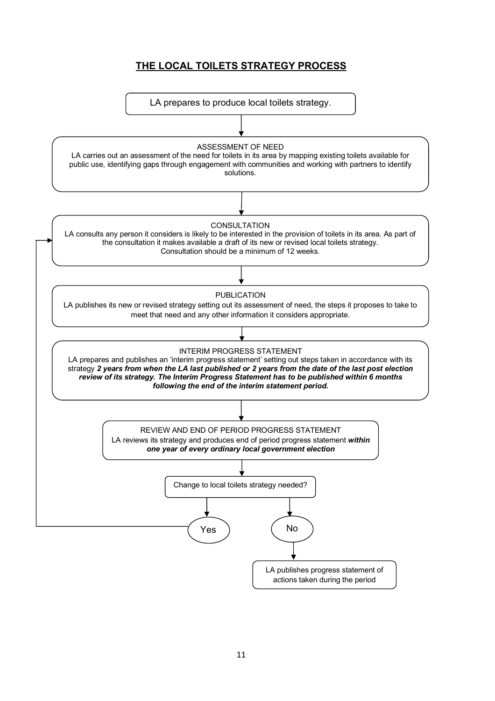# **THE LOCAL TOILETS STRATEGY PROCESS**

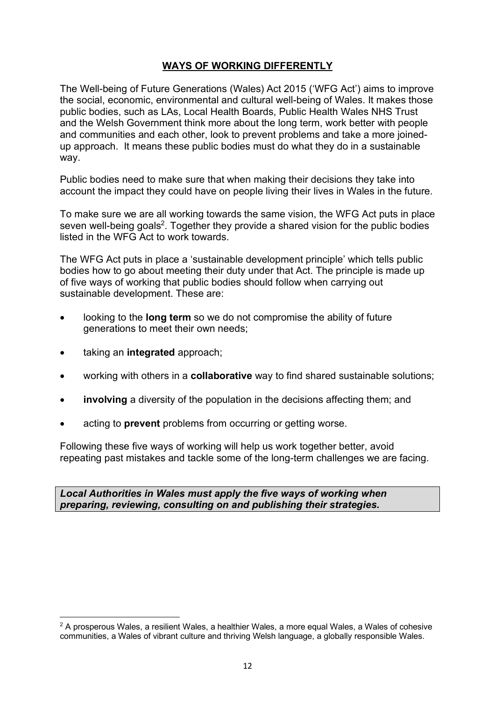# **WAYS OF WORKING DIFFERENTLY**

The Well-being of Future Generations (Wales) Act 2015 ('WFG Act') aims to improve the social, economic, environmental and cultural well-being of Wales. It makes those public bodies, such as LAs, Local Health Boards, Public Health Wales NHS Trust and the Welsh Government think more about the long term, work better with people and communities and each other, look to prevent problems and take a more joinedup approach. It means these public bodies must do what they do in a sustainable way.

Public bodies need to make sure that when making their decisions they take into account the impact they could have on people living their lives in Wales in the future.

To make sure we are all working towards the same vision, the WFG Act puts in place seven well-being goals<sup>2</sup>. Together they provide a shared vision for the public bodies listed in the WFG Act to work towards.

The WFG Act puts in place a 'sustainable development principle' which tells public bodies how to go about meeting their duty under that Act. The principle is made up of five ways of working that public bodies should follow when carrying out sustainable development. These are:

- looking to the **long term** so we do not compromise the ability of future generations to meet their own needs;
- taking an **integrated** approach;
- working with others in a **collaborative** way to find shared sustainable solutions;
- **involving** a diversity of the population in the decisions affecting them; and
- acting to **prevent** problems from occurring or getting worse.

Following these five ways of working will help us work together better, avoid repeating past mistakes and tackle some of the long-term challenges we are facing.

*Local Authorities in Wales must apply the five ways of working when preparing, reviewing, consulting on and publishing their strategies.*

 $\overline{a}$  $2$  A prosperous Wales, a resilient Wales, a healthier Wales, a more equal Wales, a Wales of cohesive communities, a Wales of vibrant culture and thriving Welsh language, a globally responsible Wales.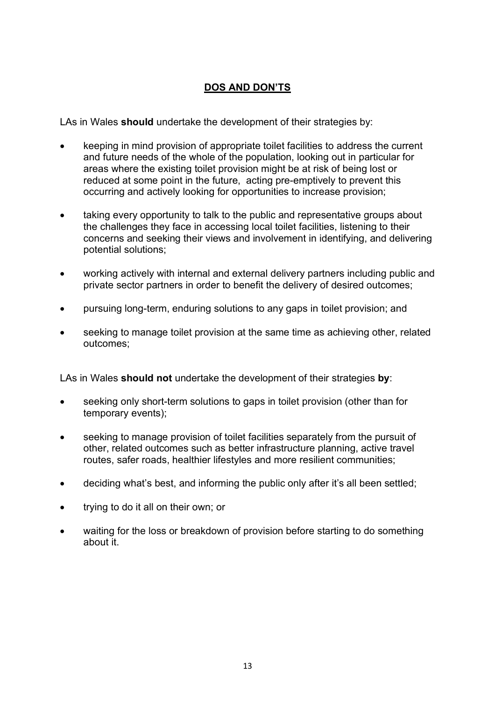# **DOS AND DON'TS**

LAs in Wales **should** undertake the development of their strategies by:

- keeping in mind provision of appropriate toilet facilities to address the current and future needs of the whole of the population, looking out in particular for areas where the existing toilet provision might be at risk of being lost or reduced at some point in the future, acting pre-emptively to prevent this occurring and actively looking for opportunities to increase provision;
- taking every opportunity to talk to the public and representative groups about the challenges they face in accessing local toilet facilities, listening to their concerns and seeking their views and involvement in identifying, and delivering potential solutions;
- working actively with internal and external delivery partners including public and private sector partners in order to benefit the delivery of desired outcomes;
- pursuing long-term, enduring solutions to any gaps in toilet provision; and
- seeking to manage toilet provision at the same time as achieving other, related outcomes;

LAs in Wales **should not** undertake the development of their strategies **by**:

- seeking only short-term solutions to gaps in toilet provision (other than for temporary events);
- seeking to manage provision of toilet facilities separately from the pursuit of other, related outcomes such as better infrastructure planning, active travel routes, safer roads, healthier lifestyles and more resilient communities;
- deciding what's best, and informing the public only after it's all been settled;
- trying to do it all on their own; or
- waiting for the loss or breakdown of provision before starting to do something about it.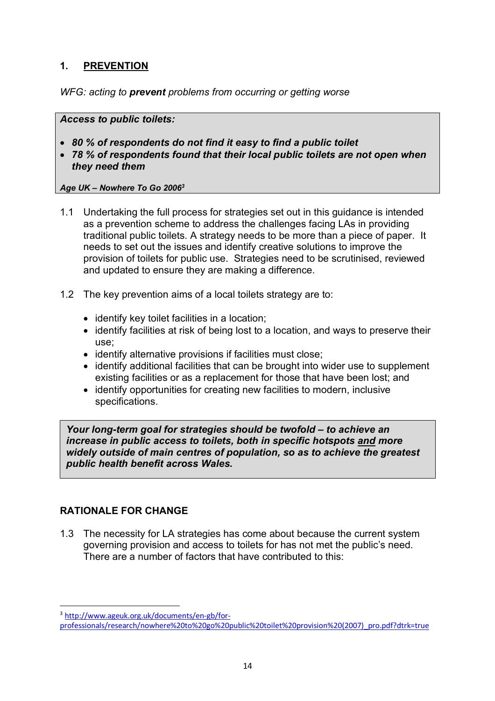# **1. PREVENTION**

*WFG: acting to prevent problems from occurring or getting worse*

*Access to public toilets:* 

- *80 % of respondents do not find it easy to find a public toilet*
- *78 % of respondents found that their local public toilets are not open when they need them*

#### *Age UK – Nowhere To Go 20063*

- 1.1 Undertaking the full process for strategies set out in this guidance is intended as a prevention scheme to address the challenges facing LAs in providing traditional public toilets. A strategy needs to be more than a piece of paper. It needs to set out the issues and identify creative solutions to improve the provision of toilets for public use. Strategies need to be scrutinised, reviewed and updated to ensure they are making a difference.
- 1.2 The key prevention aims of a local toilets strategy are to:
	- identify key toilet facilities in a location;
	- identify facilities at risk of being lost to a location, and ways to preserve their use;
	- identify alternative provisions if facilities must close;
	- identify additional facilities that can be brought into wider use to supplement existing facilities or as a replacement for those that have been lost; and
	- identify opportunities for creating new facilities to modern, inclusive specifications.

*Your long-term goal for strategies should be twofold – to achieve an increase in public access to toilets, both in specific hotspots and more widely outside of main centres of population, so as to achieve the greatest public health benefit across Wales.*

## **RATIONALE FOR CHANGE**

1.3 The necessity for LA strategies has come about because the current system governing provision and access to toilets for has not met the public's need. There are a number of factors that have contributed to this:

 <sup>3</sup> http://www.ageuk.org.uk/documents/en-gb/for-

professionals/research/nowhere%20to%20go%20public%20toilet%20provision%20(2007)\_pro.pdf?dtrk=true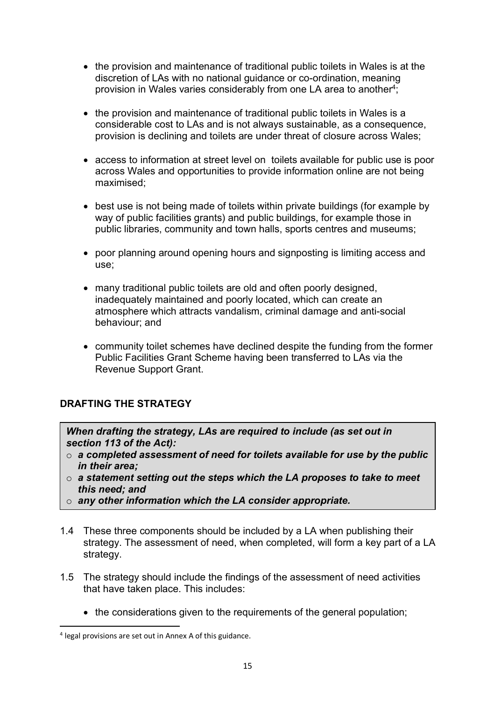- the provision and maintenance of traditional public toilets in Wales is at the discretion of LAs with no national guidance or co-ordination, meaning provision in Wales varies considerably from one LA area to another<sup>4</sup>;
- the provision and maintenance of traditional public toilets in Wales is a considerable cost to LAs and is not always sustainable, as a consequence, provision is declining and toilets are under threat of closure across Wales;
- access to information at street level on toilets available for public use is poor across Wales and opportunities to provide information online are not being maximised;
- best use is not being made of toilets within private buildings (for example by way of public facilities grants) and public buildings, for example those in public libraries, community and town halls, sports centres and museums;
- poor planning around opening hours and signposting is limiting access and use;
- many traditional public toilets are old and often poorly designed, inadequately maintained and poorly located, which can create an atmosphere which attracts vandalism, criminal damage and anti-social behaviour; and
- community toilet schemes have declined despite the funding from the former Public Facilities Grant Scheme having been transferred to LAs via the Revenue Support Grant.

# **DRAFTING THE STRATEGY**

*When drafting the strategy, LAs are required to include (as set out in section 113 of the Act):*

- o *a completed assessment of need for toilets available for use by the public in their area;*
- o *a statement setting out the steps which the LA proposes to take to meet this need; and*
- o *any other information which the LA consider appropriate.*
- 1.4 These three components should be included by a LA when publishing their strategy. The assessment of need, when completed, will form a key part of a LA strategy.
- 1.5 The strategy should include the findings of the assessment of need activities that have taken place. This includes:
	- the considerations given to the requirements of the general population;

 <sup>4</sup> legal provisions are set out in Annex A of this guidance.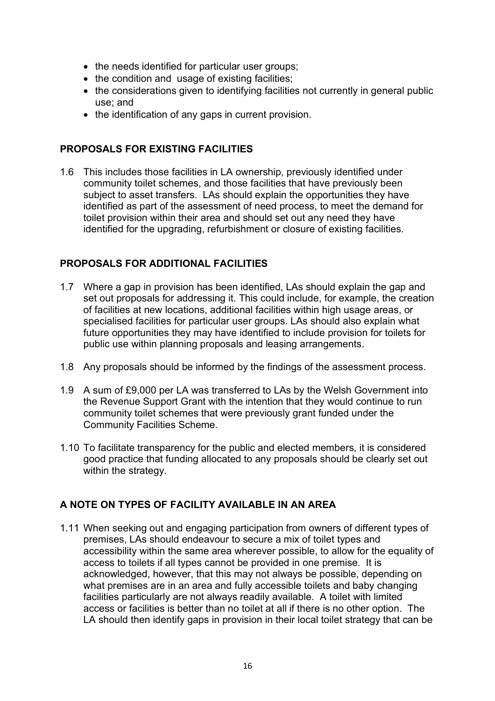- the needs identified for particular user groups;
- the condition and usage of existing facilities;
- the considerations given to identifying facilities not currently in general public use; and
- the identification of any gaps in current provision.

### **PROPOSALS FOR EXISTING FACILITIES**

1.6 This includes those facilities in LA ownership, previously identified under community toilet schemes, and those facilities that have previously been subject to asset transfers. LAs should explain the opportunities they have identified as part of the assessment of need process, to meet the demand for toilet provision within their area and should set out any need they have identified for the upgrading, refurbishment or closure of existing facilities.

## **PROPOSALS FOR ADDITIONAL FACILITIES**

- 1.7 Where a gap in provision has been identified, LAs should explain the gap and set out proposals for addressing it. This could include, for example, the creation of facilities at new locations, additional facilities within high usage areas, or specialised facilities for particular user groups. LAs should also explain what future opportunities they may have identified to include provision for toilets for public use within planning proposals and leasing arrangements.
- 1.8 Any proposals should be informed by the findings of the assessment process.
- 1.9 A sum of £9,000 per LA was transferred to LAs by the Welsh Government into the Revenue Support Grant with the intention that they would continue to run community toilet schemes that were previously grant funded under the Community Facilities Scheme.
- 1.10 To facilitate transparency for the public and elected members, it is considered good practice that funding allocated to any proposals should be clearly set out within the strategy.

## **A NOTE ON TYPES OF FACILITY AVAILABLE IN AN AREA**

1.11 When seeking out and engaging participation from owners of different types of premises, LAs should endeavour to secure a mix of toilet types and accessibility within the same area wherever possible, to allow for the equality of access to toilets if all types cannot be provided in one premise. It is acknowledged, however, that this may not always be possible, depending on what premises are in an area and fully accessible toilets and baby changing facilities particularly are not always readily available. A toilet with limited access or facilities is better than no toilet at all if there is no other option. The LA should then identify gaps in provision in their local toilet strategy that can be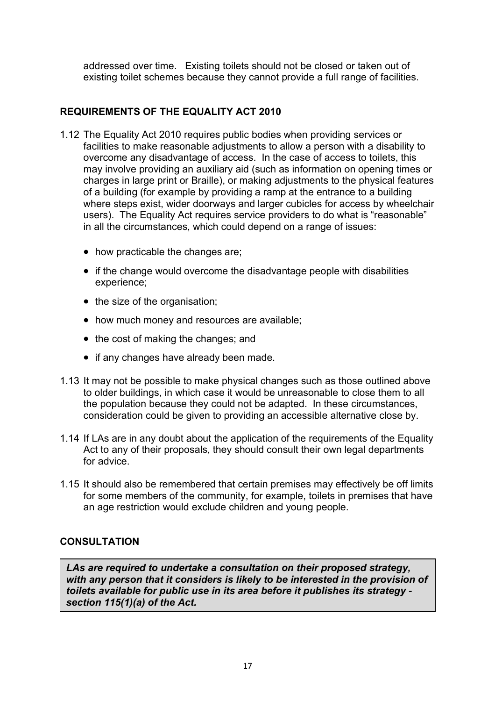addressed over time. Existing toilets should not be closed or taken out of existing toilet schemes because they cannot provide a full range of facilities.

# **REQUIREMENTS OF THE EQUALITY ACT 2010**

- 1.12 The Equality Act 2010 requires public bodies when providing services or facilities to make reasonable adjustments to allow a person with a disability to overcome any disadvantage of access. In the case of access to toilets, this may involve providing an auxiliary aid (such as information on opening times or charges in large print or Braille), or making adjustments to the physical features of a building (for example by providing a ramp at the entrance to a building where steps exist, wider doorways and larger cubicles for access by wheelchair users). The Equality Act requires service providers to do what is "reasonable" in all the circumstances, which could depend on a range of issues:
	- how practicable the changes are;
	- if the change would overcome the disadvantage people with disabilities experience;
	- the size of the organisation:
	- how much money and resources are available:
	- the cost of making the changes; and
	- if any changes have already been made.
- 1.13 It may not be possible to make physical changes such as those outlined above to older buildings, in which case it would be unreasonable to close them to all the population because they could not be adapted. In these circumstances, consideration could be given to providing an accessible alternative close by.
- 1.14 If LAs are in any doubt about the application of the requirements of the Equality Act to any of their proposals, they should consult their own legal departments for advice.
- 1.15 It should also be remembered that certain premises may effectively be off limits for some members of the community, for example, toilets in premises that have an age restriction would exclude children and young people.

## **CONSULTATION**

*LAs are required to undertake a consultation on their proposed strategy, with any person that it considers is likely to be interested in the provision of toilets available for public use in its area before it publishes its strategy section 115(1)(a) of the Act.*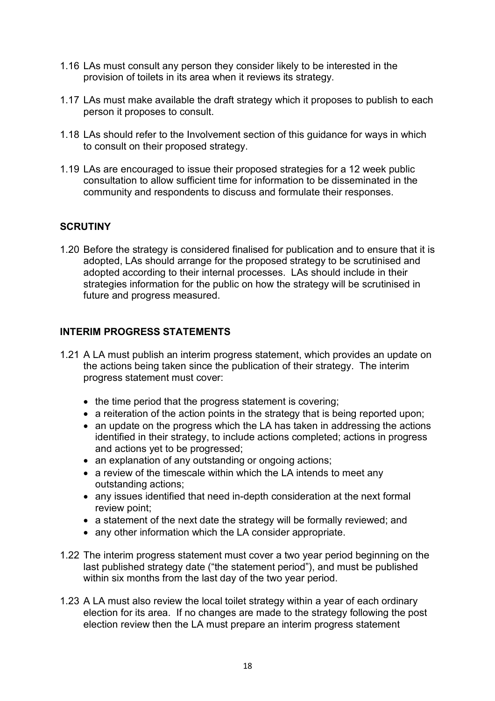- 1.16 LAs must consult any person they consider likely to be interested in the provision of toilets in its area when it reviews its strategy.
- 1.17 LAs must make available the draft strategy which it proposes to publish to each person it proposes to consult.
- 1.18 LAs should refer to the Involvement section of this guidance for ways in which to consult on their proposed strategy.
- 1.19 LAs are encouraged to issue their proposed strategies for a 12 week public consultation to allow sufficient time for information to be disseminated in the community and respondents to discuss and formulate their responses.

## **SCRUTINY**

1.20 Before the strategy is considered finalised for publication and to ensure that it is adopted, LAs should arrange for the proposed strategy to be scrutinised and adopted according to their internal processes. LAs should include in their strategies information for the public on how the strategy will be scrutinised in future and progress measured.

#### **INTERIM PROGRESS STATEMENTS**

- 1.21 A LA must publish an interim progress statement, which provides an update on the actions being taken since the publication of their strategy. The interim progress statement must cover:
	- the time period that the progress statement is covering;
	- a reiteration of the action points in the strategy that is being reported upon;
	- an update on the progress which the LA has taken in addressing the actions identified in their strategy, to include actions completed; actions in progress and actions yet to be progressed;
	- an explanation of any outstanding or ongoing actions:
	- a review of the timescale within which the LA intends to meet any outstanding actions;
	- any issues identified that need in-depth consideration at the next formal review point;
	- a statement of the next date the strategy will be formally reviewed; and
	- any other information which the LA consider appropriate.
- 1.22 The interim progress statement must cover a two year period beginning on the last published strategy date ("the statement period"), and must be published within six months from the last day of the two year period.
- 1.23 A LA must also review the local toilet strategy within a year of each ordinary election for its area. If no changes are made to the strategy following the post election review then the LA must prepare an interim progress statement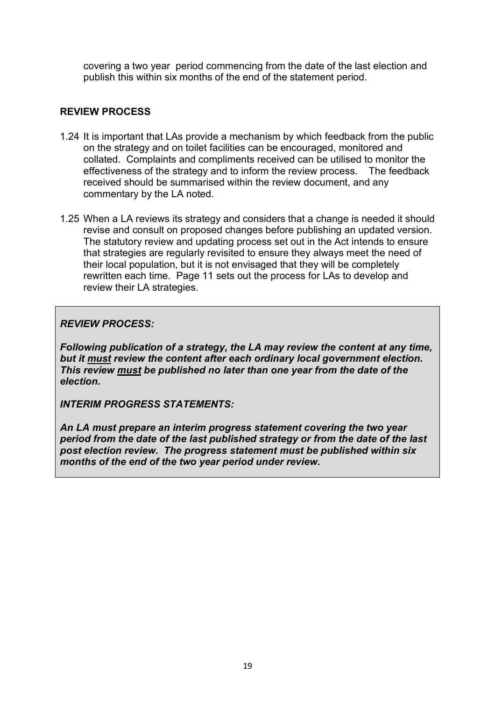covering a two year period commencing from the date of the last election and publish this within six months of the end of the statement period.

# **REVIEW PROCESS**

- 1.24 It is important that LAs provide a mechanism by which feedback from the public on the strategy and on toilet facilities can be encouraged, monitored and collated. Complaints and compliments received can be utilised to monitor the effectiveness of the strategy and to inform the review process. The feedback received should be summarised within the review document, and any commentary by the LA noted.
- 1.25 When a LA reviews its strategy and considers that a change is needed it should revise and consult on proposed changes before publishing an updated version. The statutory review and updating process set out in the Act intends to ensure that strategies are regularly revisited to ensure they always meet the need of their local population, but it is not envisaged that they will be completely rewritten each time. Page 11 sets out the process for LAs to develop and review their LA strategies.

*REVIEW PROCESS:* 

*Following publication of a strategy, the LA may review the content at any time, but it must review the content after each ordinary local government election. This review must be published no later than one year from the date of the election.*

*INTERIM PROGRESS STATEMENTS:*

*An LA must prepare an interim progress statement covering the two year period from the date of the last published strategy or from the date of the last post election review. The progress statement must be published within six months of the end of the two year period under review.*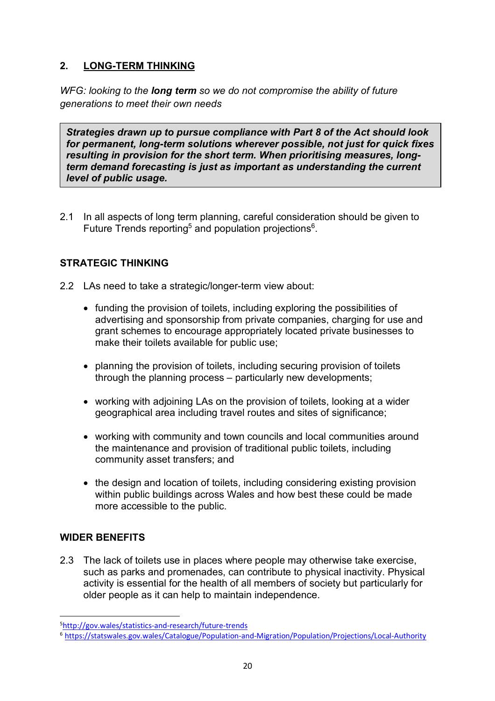# **2. LONG-TERM THINKING**

*WFG: looking to the long term so we do not compromise the ability of future generations to meet their own needs*

*Strategies drawn up to pursue compliance with Part 8 of the Act should look for permanent, long-term solutions wherever possible, not just for quick fixes resulting in provision for the short term. When prioritising measures, longterm demand forecasting is just as important as understanding the current level of public usage.*

2.1 In all aspects of long term planning, careful consideration should be given to Future Trends reporting<sup>5</sup> and population projections<sup>6</sup>.

# **STRATEGIC THINKING**

- 2.2 LAs need to take a strategic/longer-term view about:
	- funding the provision of toilets, including exploring the possibilities of advertising and sponsorship from private companies, charging for use and grant schemes to encourage appropriately located private businesses to make their toilets available for public use;
	- planning the provision of toilets, including securing provision of toilets through the planning process – particularly new developments;
	- working with adjoining LAs on the provision of toilets, looking at a wider geographical area including travel routes and sites of significance;
	- working with community and town councils and local communities around the maintenance and provision of traditional public toilets, including community asset transfers; and
	- the design and location of toilets, including considering existing provision within public buildings across Wales and how best these could be made more accessible to the public.

## **WIDER BENEFITS**

2.3 The lack of toilets use in places where people may otherwise take exercise, such as parks and promenades, can contribute to physical inactivity. Physical activity is essential for the health of all members of society but particularly for older people as it can help to maintain independence.

<sup>-&</sup>lt;br>5 http://gov.wales/statistics-and-research/future-trends

<sup>6</sup> https://statswales.gov.wales/Catalogue/Population-and-Migration/Population/Projections/Local-Authority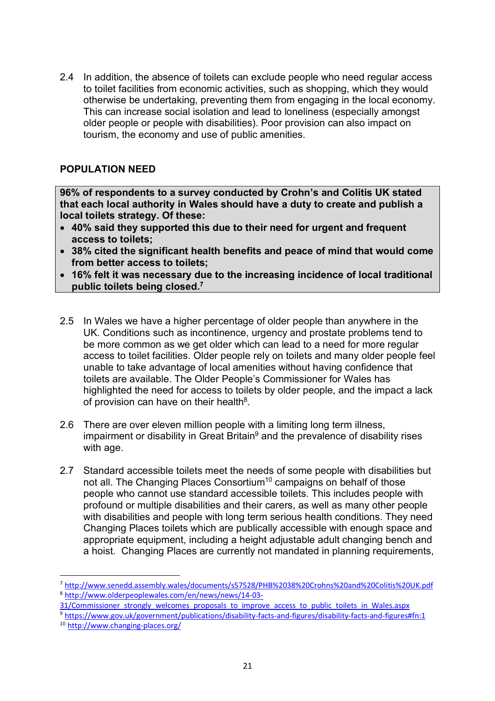2.4 In addition, the absence of toilets can exclude people who need regular access to toilet facilities from economic activities, such as shopping, which they would otherwise be undertaking, preventing them from engaging in the local economy. This can increase social isolation and lead to loneliness (especially amongst older people or people with disabilities). Poor provision can also impact on tourism, the economy and use of public amenities.

## **POPULATION NEED**

**96% of respondents to a survey conducted by Crohn's and Colitis UK stated that each local authority in Wales should have a duty to create and publish a local toilets strategy. Of these:**

- **40% said they supported this due to their need for urgent and frequent access to toilets;**
- **38% cited the significant health benefits and peace of mind that would come from better access to toilets;**
- **16% felt it was necessary due to the increasing incidence of local traditional public toilets being closed.7**
- 2.5 In Wales we have a higher percentage of older people than anywhere in the UK. Conditions such as incontinence, urgency and prostate problems tend to be more common as we get older which can lead to a need for more regular access to toilet facilities. Older people rely on toilets and many older people feel unable to take advantage of local amenities without having confidence that toilets are available. The Older People's Commissioner for Wales has highlighted the need for access to toilets by older people, and the impact a lack of provision can have on their health $8$ .
- 2.6 There are over eleven million people with a limiting long term illness, impairment or disability in Great Britain $9$  and the prevalence of disability rises with age.
- 2.7 Standard accessible toilets meet the needs of some people with disabilities but not all. The Changing Places Consortium<sup>10</sup> campaigns on behalf of those people who cannot use standard accessible toilets. This includes people with profound or multiple disabilities and their carers, as well as many other people with disabilities and people with long term serious health conditions. They need Changing Places toilets which are publically accessible with enough space and appropriate equipment, including a height adjustable adult changing bench and a hoist. Changing Places are currently not mandated in planning requirements,

- 31/Commissioner\_strongly\_welcomes\_proposals\_to\_improve\_access\_to\_public\_toilets\_in\_Wales.aspx
- 9 https://www.gov.uk/government/publications/disability-facts-and-figures/disability-facts-and-figures#fn:1
- <sup>10</sup> http://www.changing-places.org/

 <sup>7</sup> http://www.senedd.assembly.wales/documents/s57528/PHB%2038%20Crohns%20and%20Colitis%20UK.pdf <sup>8</sup> http://www.olderpeoplewales.com/en/news/news/14-03-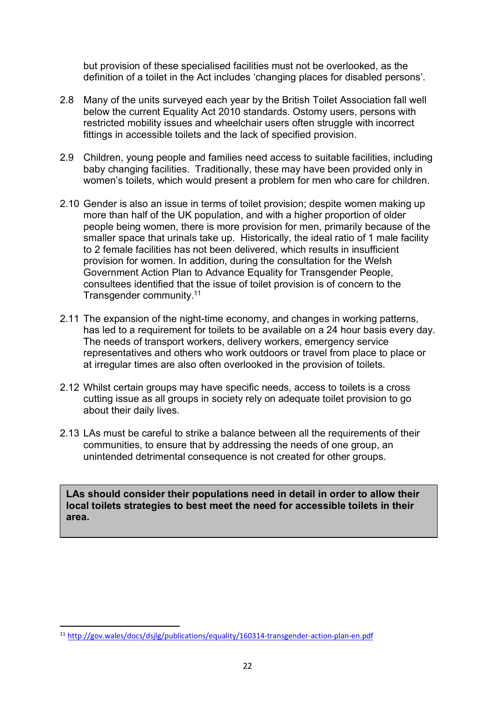but provision of these specialised facilities must not be overlooked, as the definition of a toilet in the Act includes 'changing places for disabled persons'.

- 2.8 Many of the units surveyed each year by the British Toilet Association fall well below the current Equality Act 2010 standards. Ostomy users, persons with restricted mobility issues and wheelchair users often struggle with incorrect fittings in accessible toilets and the lack of specified provision.
- 2.9 Children, young people and families need access to suitable facilities, including baby changing facilities. Traditionally, these may have been provided only in women's toilets, which would present a problem for men who care for children.
- 2.10 Gender is also an issue in terms of toilet provision; despite women making up more than half of the UK population, and with a higher proportion of older people being women, there is more provision for men, primarily because of the smaller space that urinals take up. Historically, the ideal ratio of 1 male facility to 2 female facilities has not been delivered, which results in insufficient provision for women. In addition, during the consultation for the Welsh Government Action Plan to Advance Equality for Transgender People, consultees identified that the issue of toilet provision is of concern to the Transgender community.11
- 2.11 The expansion of the night-time economy, and changes in working patterns, has led to a requirement for toilets to be available on a 24 hour basis every day. The needs of transport workers, delivery workers, emergency service representatives and others who work outdoors or travel from place to place or at irregular times are also often overlooked in the provision of toilets.
- 2.12 Whilst certain groups may have specific needs, access to toilets is a cross cutting issue as all groups in society rely on adequate toilet provision to go about their daily lives.
- 2.13 LAs must be careful to strike a balance between all the requirements of their communities, to ensure that by addressing the needs of one group, an unintended detrimental consequence is not created for other groups.

**LAs should consider their populations need in detail in order to allow their local toilets strategies to best meet the need for accessible toilets in their area.**

 <sup>11</sup> http://gov.wales/docs/dsjlg/publications/equality/160314-transgender-action-plan-en.pdf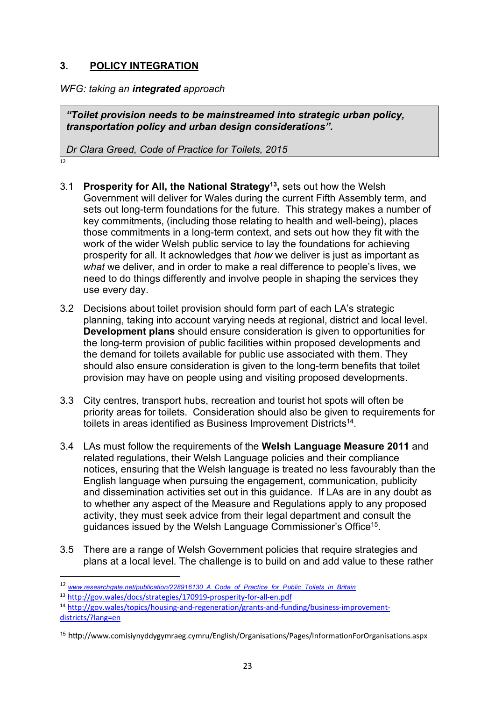# **3. POLICY INTEGRATION**

*WFG: taking an integrated approach*

*"Toilet provision needs to be mainstreamed into strategic urban policy, transportation policy and urban design considerations".*

*Dr Clara Greed, Code of Practice for Toilets, 2015*

- $12$
- 3.1 **Prosperity for All, the National Strategy13,** sets out how the Welsh Government will deliver for Wales during the current Fifth Assembly term, and sets out long-term foundations for the future. This strategy makes a number of key commitments, (including those relating to health and well-being), places those commitments in a long-term context, and sets out how they fit with the work of the wider Welsh public service to lay the foundations for achieving prosperity for all. It acknowledges that *how* we deliver is just as important as *what* we deliver, and in order to make a real difference to people's lives, we need to do things differently and involve people in shaping the services they use every day.
- 3.2 Decisions about toilet provision should form part of each LA's strategic planning, taking into account varying needs at regional, district and local level. **Development plans** should ensure consideration is given to opportunities for the long-term provision of public facilities within proposed developments and the demand for toilets available for public use associated with them. They should also ensure consideration is given to the long-term benefits that toilet provision may have on people using and visiting proposed developments.
- 3.3 City centres, transport hubs, recreation and tourist hot spots will often be priority areas for toilets. Consideration should also be given to requirements for toilets in areas identified as Business Improvement Districts<sup>14</sup>.
- 3.4 LAs must follow the requirements of the **Welsh Language Measure 2011** and related regulations, their Welsh Language policies and their compliance notices, ensuring that the Welsh language is treated no less favourably than the English language when pursuing the engagement, communication, publicity and dissemination activities set out in this guidance. If LAs are in any doubt as to whether any aspect of the Measure and Regulations apply to any proposed activity, they must seek advice from their legal department and consult the guidances issued by the Welsh Language Commissioner's Office15.
- 3.5 There are a range of Welsh Government policies that require strategies and plans at a local level. The challenge is to build on and add value to these rather

 <sup>12</sup> *www.researchgate.net/publication/228916130\_A\_Code\_of\_Practice\_for\_Public\_Toilets\_in\_Britain*

<sup>13</sup> http://gov.wales/docs/strategies/170919-prosperity-for-all-en.pdf

<sup>14</sup> http://gov.wales/topics/housing-and-regeneration/grants-and-funding/business-improvementdistricts/?lang=en

<sup>15</sup> http://www.comisiynyddygymraeg.cymru/English/Organisations/Pages/InformationForOrganisations.aspx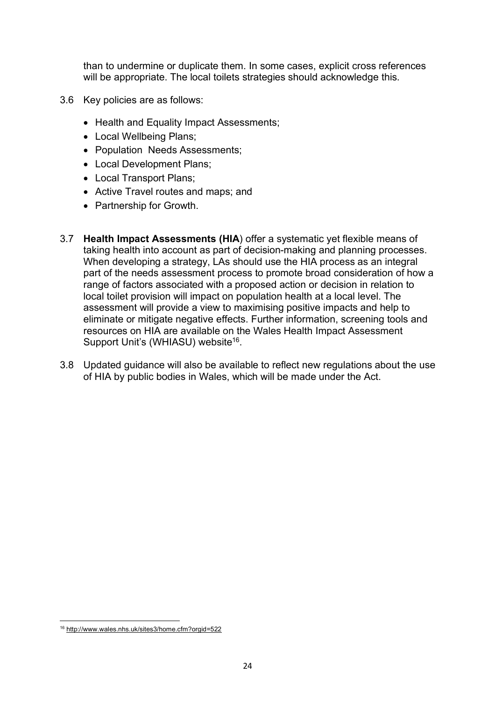than to undermine or duplicate them. In some cases, explicit cross references will be appropriate. The local toilets strategies should acknowledge this.

- 3.6 Key policies are as follows:
	- Health and Equality Impact Assessments;
	- Local Wellbeing Plans;
	- Population Needs Assessments;
	- Local Development Plans;
	- Local Transport Plans;
	- Active Travel routes and maps; and
	- Partnership for Growth.
- 3.7 **Health Impact Assessments (HIA**) offer a systematic yet flexible means of taking health into account as part of decision-making and planning processes. When developing a strategy, LAs should use the HIA process as an integral part of the needs assessment process to promote broad consideration of how a range of factors associated with a proposed action or decision in relation to local toilet provision will impact on population health at a local level. The assessment will provide a view to maximising positive impacts and help to eliminate or mitigate negative effects. Further information, screening tools and resources on HIA are available on the Wales Health Impact Assessment Support Unit's (WHIASU) website<sup>16</sup>.
- 3.8 Updated guidance will also be available to reflect new regulations about the use of HIA by public bodies in Wales, which will be made under the Act.

 $\overline{a}$ <sup>16</sup> http://www.wales.nhs.uk/sites3/home.cfm?orgid=522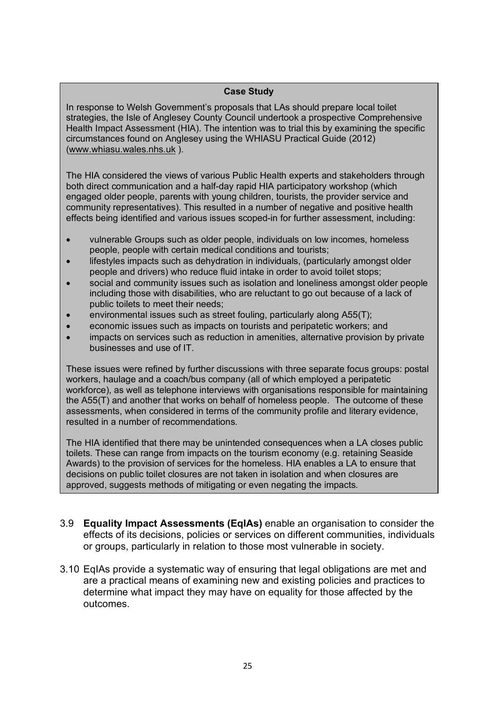#### **Case Study**

In response to Welsh Government's proposals that LAs should prepare local toilet strategies, the Isle of Anglesey County Council undertook a prospective Comprehensive Health Impact Assessment (HIA). The intention was to trial this by examining the specific circumstances found on Anglesey using the WHIASU Practical Guide (2012) (www.whiasu.wales.nhs.uk ).

The HIA considered the views of various Public Health experts and stakeholders through both direct communication and a half-day rapid HIA participatory workshop (which engaged older people, parents with young children, tourists, the provider service and community representatives). This resulted in a number of negative and positive health effects being identified and various issues scoped-in for further assessment, including:

- vulnerable Groups such as older people, individuals on low incomes, homeless people, people with certain medical conditions and tourists;
- lifestyles impacts such as dehydration in individuals, (particularly amongst older people and drivers) who reduce fluid intake in order to avoid toilet stops;
- social and community issues such as isolation and loneliness amongst older people including those with disabilities, who are reluctant to go out because of a lack of public toilets to meet their needs;
- environmental issues such as street fouling, particularly along A55(T);
- economic issues such as impacts on tourists and peripatetic workers; and
- impacts on services such as reduction in amenities, alternative provision by private businesses and use of IT.

These issues were refined by further discussions with three separate focus groups: postal workers, haulage and a coach/bus company (all of which employed a peripatetic workforce), as well as telephone interviews with organisations responsible for maintaining the A55(T) and another that works on behalf of homeless people. The outcome of these assessments, when considered in terms of the community profile and literary evidence, resulted in a number of recommendations.

The HIA identified that there may be unintended consequences when a LA closes public toilets. These can range from impacts on the tourism economy (e.g. retaining Seaside Awards) to the provision of services for the homeless. HIA enables a LA to ensure that decisions on public toilet closures are not taken in isolation and when closures are approved, suggests methods of mitigating or even negating the impacts.

- 3.9 **Equality Impact Assessments (EqIAs)** enable an organisation to consider the effects of its decisions, policies or services on different communities, individuals or groups, particularly in relation to those most vulnerable in society.
- 3.10 EqIAs provide a systematic way of ensuring that legal obligations are met and are a practical means of examining new and existing policies and practices to determine what impact they may have on equality for those affected by the outcomes.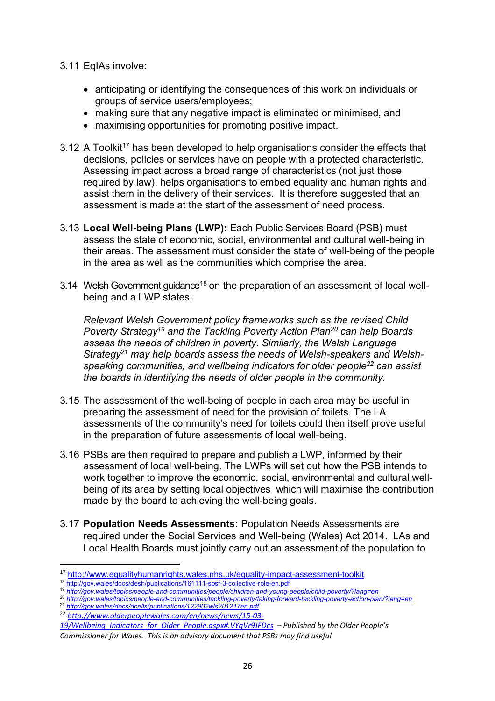- 3.11 EqIAs involve:
	- anticipating or identifying the consequences of this work on individuals or groups of service users/employees;
	- making sure that any negative impact is eliminated or minimised, and
	- maximising opportunities for promoting positive impact.
- 3.12 A Toolkit<sup>17</sup> has been developed to help organisations consider the effects that decisions, policies or services have on people with a protected characteristic. Assessing impact across a broad range of characteristics (not just those required by law), helps organisations to embed equality and human rights and assist them in the delivery of their services. It is therefore suggested that an assessment is made at the start of the assessment of need process.
- 3.13 **Local Well-being Plans (LWP):** Each Public Services Board (PSB) must assess the state of economic, social, environmental and cultural well-being in their areas. The assessment must consider the state of well-being of the people in the area as well as the communities which comprise the area.
- 3.14 Welsh Government guidance<sup>18</sup> on the preparation of an assessment of local wellbeing and a LWP states:

*Relevant Welsh Government policy frameworks such as the revised Child Poverty Strategy19 and the Tackling Poverty Action Plan20 can help Boards assess the needs of children in poverty. Similarly, the Welsh Language Strategy21 may help boards assess the needs of Welsh-speakers and Welshspeaking communities, and wellbeing indicators for older people22 can assist the boards in identifying the needs of older people in the community.* 

- 3.15 The assessment of the well-being of people in each area may be useful in preparing the assessment of need for the provision of toilets. The LA assessments of the community's need for toilets could then itself prove useful in the preparation of future assessments of local well-being.
- 3.16 PSBs are then required to prepare and publish a LWP, informed by their assessment of local well-being. The LWPs will set out how the PSB intends to work together to improve the economic, social, environmental and cultural wellbeing of its area by setting local objectives which will maximise the contribution made by the board to achieving the well-being goals.
- 3.17 **Population Needs Assessments:** Population Needs Assessments are required under the Social Services and Well-being (Wales) Act 2014. LAs and Local Health Boards must jointly carry out an assessment of the population to

 <sup>17</sup> http://www.equalityhumanrights.wales.nhs.uk/equality-impact-assessment-toolkit

<sup>18</sup> http://gov.wales/docs/desh/publications/161111-spsf-3-collective-role-en.pdf

<sup>19</sup> *http://gov.wales/topics/people-and-communities/people/children-and-young-people/child-poverty/?lang=en*

<sup>20</sup> *http://gov.wales/topics/people-and-communities/tackling-poverty/taking-forward-tackling-poverty-action-plan/?lang=en* 

<sup>21</sup> *http://gov.wales/docs/dcells/publications/122902wls201217en.pdf* 

<sup>22</sup> *http://www.olderpeoplewales.com/en/news/news/15-03-*

*<sup>19/</sup>Wellbeing\_Indicators\_for\_Older\_People.aspx#.VYgVr9JFDcs – Published by the Older People's Commissioner for Wales. This is an advisory document that PSBs may find useful.*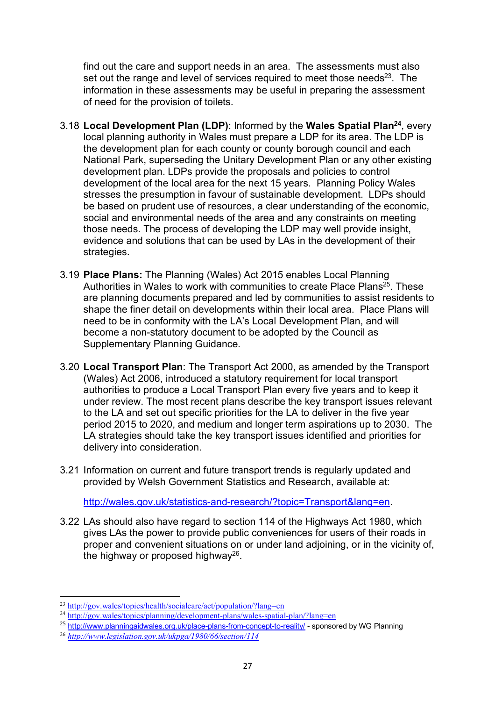find out the care and support needs in an area. The assessments must also set out the range and level of services required to meet those needs $23$ . The information in these assessments may be useful in preparing the assessment of need for the provision of toilets.

- 3.18 **Local Development Plan (LDP)**: Informed by the **Wales Spatial Plan24**, every local planning authority in Wales must prepare a LDP for its area. The LDP is the development plan for each county or county borough council and each National Park, superseding the Unitary Development Plan or any other existing development plan. LDPs provide the proposals and policies to control development of the local area for the next 15 years. Planning Policy Wales stresses the presumption in favour of sustainable development. LDPs should be based on prudent use of resources, a clear understanding of the economic, social and environmental needs of the area and any constraints on meeting those needs. The process of developing the LDP may well provide insight, evidence and solutions that can be used by LAs in the development of their strategies.
- 3.19 **Place Plans:** The Planning (Wales) Act 2015 enables Local Planning Authorities in Wales to work with communities to create Place Plans<sup>25</sup>. These are planning documents prepared and led by communities to assist residents to shape the finer detail on developments within their local area. Place Plans will need to be in conformity with the LA's Local Development Plan, and will become a non-statutory document to be adopted by the Council as Supplementary Planning Guidance.
- 3.20 **Local Transport Plan**: The Transport Act 2000, as amended by the Transport (Wales) Act 2006, introduced a statutory requirement for local transport authorities to produce a Local Transport Plan every five years and to keep it under review. The most recent plans describe the key transport issues relevant to the LA and set out specific priorities for the LA to deliver in the five year period 2015 to 2020, and medium and longer term aspirations up to 2030. The LA strategies should take the key transport issues identified and priorities for delivery into consideration.
- 3.21 Information on current and future transport trends is regularly updated and provided by Welsh Government Statistics and Research, available at:

http://wales.gov.uk/statistics-and-research/?topic=Transport&lang=en.

3.22 LAs should also have regard to section 114 of the Highways Act 1980, which gives LAs the power to provide public conveniences for users of their roads in proper and convenient situations on or under land adjoining, or in the vicinity of, the highway or proposed highway<sup>26</sup>.

l

<sup>23</sup> http://gov.wales/topics/health/socialcare/act/population/?lang=en

<sup>&</sup>lt;sup>24</sup> http://gov.wales/topics/planning/development-plans/wales-spatial-plan/?lang=en

<sup>25</sup> http://www.planningaidwales.org.uk/place-plans-from-concept-to-reality/ - sponsored by WG Planning

<sup>26</sup> *http://www.legislation.gov.uk/ukpga/1980/66/section/114*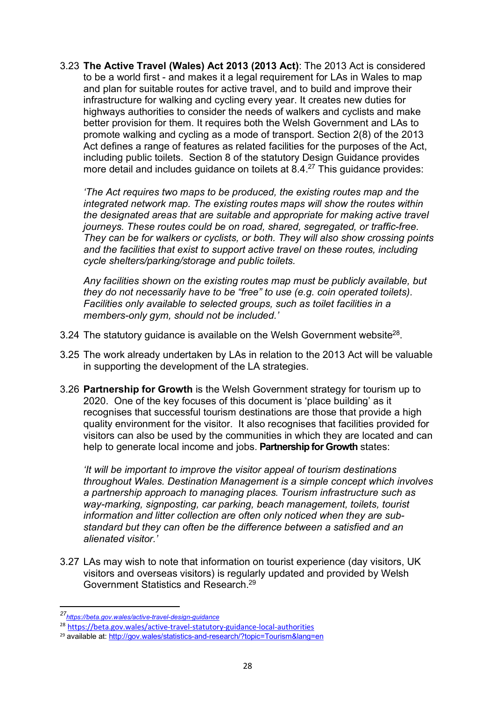3.23 **The Active Travel (Wales) Act 2013 (2013 Act)**: The 2013 Act is considered to be a world first - and makes it a legal requirement for LAs in Wales to map and plan for suitable routes for active travel, and to build and improve their infrastructure for walking and cycling every year. It creates new duties for highways authorities to consider the needs of walkers and cyclists and make better provision for them. It requires both the Welsh Government and LAs to promote walking and cycling as a mode of transport. Section 2(8) of the 2013 Act defines a range of features as related facilities for the purposes of the Act, including public toilets. Section 8 of the statutory Design Guidance provides more detail and includes guidance on toilets at 8.4.<sup>27</sup> This guidance provides:

*'The Act requires two maps to be produced, the existing routes map and the integrated network map. The existing routes maps will show the routes within the designated areas that are suitable and appropriate for making active travel journeys. These routes could be on road, shared, segregated, or traffic-free. They can be for walkers or cyclists, or both. They will also show crossing points and the facilities that exist to support active travel on these routes, including cycle shelters/parking/storage and public toilets.*

*Any facilities shown on the existing routes map must be publicly available, but they do not necessarily have to be "free" to use (e.g. coin operated toilets). Facilities only available to selected groups, such as toilet facilities in a members-only gym, should not be included.'*

- 3.24 The statutory quidance is available on the Welsh Government website<sup>28</sup>.
- 3.25 The work already undertaken by LAs in relation to the 2013 Act will be valuable in supporting the development of the LA strategies.
- 3.26 **Partnership for Growth** is the Welsh Government strategy for tourism up to 2020. One of the key focuses of this document is 'place building' as it recognises that successful tourism destinations are those that provide a high quality environment for the visitor. It also recognises that facilities provided for visitors can also be used by the communities in which they are located and can help to generate local income and jobs. **Partnership for Growth** states:

*'It will be important to improve the visitor appeal of tourism destinations throughout Wales. Destination Management is a simple concept which involves a partnership approach to managing places. Tourism infrastructure such as way-marking, signposting, car parking, beach management, toilets, tourist information and litter collection are often only noticed when they are substandard but they can often be the difference between a satisfied and an alienated visitor.'*

3.27 LAs may wish to note that information on tourist experience (day visitors, UK visitors and overseas visitors) is regularly updated and provided by Welsh Government Statistics and Research. 29

 $\overline{a}$ 

*<sup>27</sup>https://beta.gov.wales/active-travel-design-guidance*

<sup>28</sup> https://beta.gov.wales/active-travel-statutory-guidance-local-authorities

<sup>29</sup> available at: http://gov.wales/statistics-and-research/?topic=Tourism&lang=en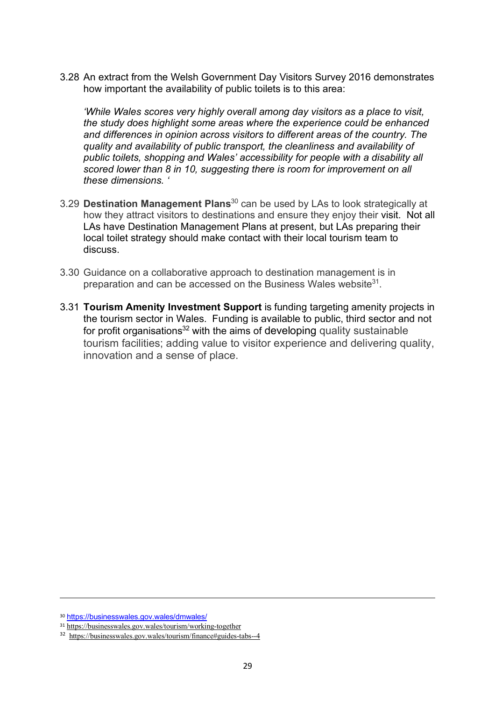3.28 An extract from the Welsh Government Day Visitors Survey 2016 demonstrates how important the availability of public toilets is to this area:

*'While Wales scores very highly overall among day visitors as a place to visit, the study does highlight some areas where the experience could be enhanced and differences in opinion across visitors to different areas of the country. The quality and availability of public transport, the cleanliness and availability of public toilets, shopping and Wales' accessibility for people with a disability all scored lower than 8 in 10, suggesting there is room for improvement on all these dimensions. '*

- 3.29 **Destination Management Plans**<sup>30</sup> can be used by LAs to look strategically at how they attract visitors to destinations and ensure they enjoy their visit. Not all LAs have Destination Management Plans at present, but LAs preparing their local toilet strategy should make contact with their local tourism team to discuss.
- 3.30 Guidance on a collaborative approach to destination management is in preparation and can be accessed on the Business Wales website<sup>31</sup>.
- 3.31 **Tourism Amenity Investment Support** is funding targeting amenity projects in the tourism sector in Wales. Funding is available to public, third sector and not for profit organisations<sup>32</sup> with the aims of developing quality sustainable tourism facilities; adding value to visitor experience and delivering quality, innovation and a sense of place.

 $\overline{\phantom{a}}$ 

<sup>30</sup> https://businesswales.gov.wales/dmwales/

<sup>31</sup> https://businesswales.gov.wales/tourism/working-together

<sup>32</sup> https://businesswales.gov.wales/tourism/finance#guides-tabs--4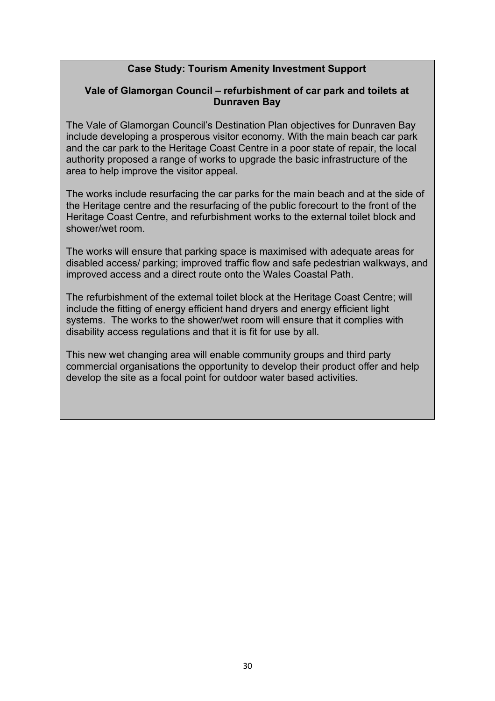## **Case Study: Tourism Amenity Investment Support**

#### **Vale of Glamorgan Council – refurbishment of car park and toilets at Dunraven Bay**

The Vale of Glamorgan Council's Destination Plan objectives for Dunraven Bay include developing a prosperous visitor economy. With the main beach car park and the car park to the Heritage Coast Centre in a poor state of repair, the local authority proposed a range of works to upgrade the basic infrastructure of the area to help improve the visitor appeal.

The works include resurfacing the car parks for the main beach and at the side of the Heritage centre and the resurfacing of the public forecourt to the front of the Heritage Coast Centre, and refurbishment works to the external toilet block and shower/wet room.

The works will ensure that parking space is maximised with adequate areas for disabled access/ parking; improved traffic flow and safe pedestrian walkways, and improved access and a direct route onto the Wales Coastal Path.

The refurbishment of the external toilet block at the Heritage Coast Centre; will include the fitting of energy efficient hand dryers and energy efficient light systems. The works to the shower/wet room will ensure that it complies with disability access regulations and that it is fit for use by all.

This new wet changing area will enable community groups and third party commercial organisations the opportunity to develop their product offer and help develop the site as a focal point for outdoor water based activities.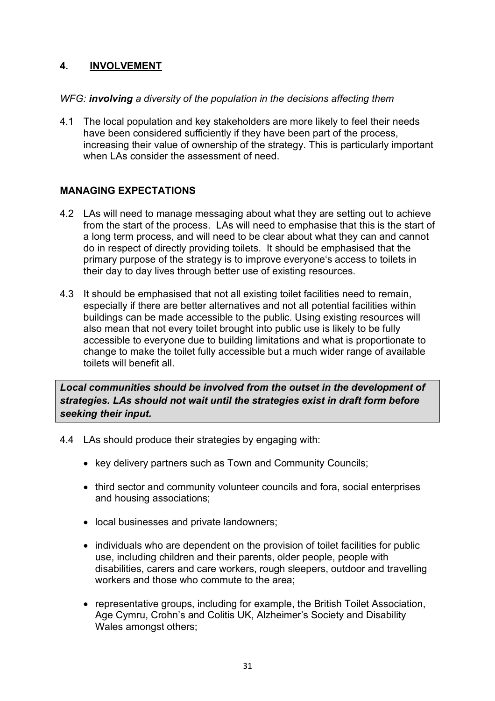# **4. INVOLVEMENT**

#### *WFG: involving a diversity of the population in the decisions affecting them*

4.1 The local population and key stakeholders are more likely to feel their needs have been considered sufficiently if they have been part of the process, increasing their value of ownership of the strategy. This is particularly important when LAs consider the assessment of need.

## **MANAGING EXPECTATIONS**

- 4.2 LAs will need to manage messaging about what they are setting out to achieve from the start of the process. LAs will need to emphasise that this is the start of a long term process, and will need to be clear about what they can and cannot do in respect of directly providing toilets. It should be emphasised that the primary purpose of the strategy is to improve everyone's access to toilets in their day to day lives through better use of existing resources.
- 4.3 It should be emphasised that not all existing toilet facilities need to remain, especially if there are better alternatives and not all potential facilities within buildings can be made accessible to the public. Using existing resources will also mean that not every toilet brought into public use is likely to be fully accessible to everyone due to building limitations and what is proportionate to change to make the toilet fully accessible but a much wider range of available toilets will benefit all.

*Local communities should be involved from the outset in the development of strategies. LAs should not wait until the strategies exist in draft form before seeking their input.* 

- 4.4 LAs should produce their strategies by engaging with:
	- key delivery partners such as Town and Community Councils;
	- third sector and community volunteer councils and fora, social enterprises and housing associations;
	- local businesses and private landowners;
	- individuals who are dependent on the provision of toilet facilities for public use, including children and their parents, older people, people with disabilities, carers and care workers, rough sleepers, outdoor and travelling workers and those who commute to the area;
	- representative groups, including for example, the British Toilet Association, Age Cymru, Crohn's and Colitis UK, Alzheimer's Society and Disability Wales amongst others;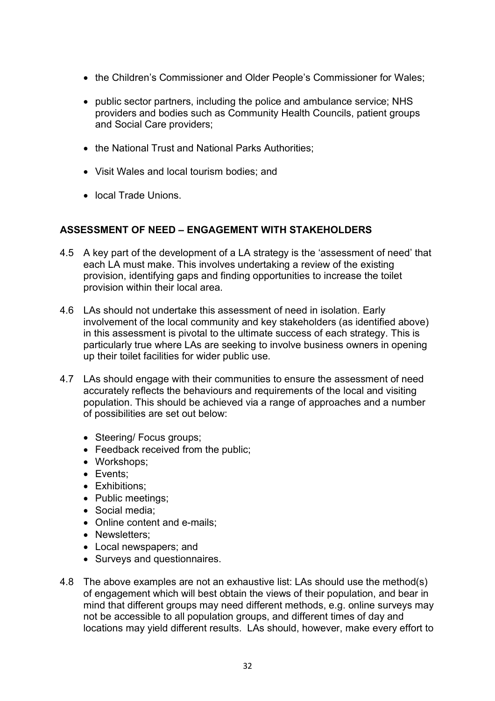- the Children's Commissioner and Older People's Commissioner for Wales;
- public sector partners, including the police and ambulance service; NHS providers and bodies such as Community Health Councils, patient groups and Social Care providers;
- the National Trust and National Parks Authorities;
- Visit Wales and local tourism bodies; and
- local Trade Unions.

#### **ASSESSMENT OF NEED – ENGAGEMENT WITH STAKEHOLDERS**

- 4.5 A key part of the development of a LA strategy is the 'assessment of need' that each LA must make. This involves undertaking a review of the existing provision, identifying gaps and finding opportunities to increase the toilet provision within their local area.
- 4.6 LAs should not undertake this assessment of need in isolation. Early involvement of the local community and key stakeholders (as identified above) in this assessment is pivotal to the ultimate success of each strategy. This is particularly true where LAs are seeking to involve business owners in opening up their toilet facilities for wider public use.
- 4.7 LAs should engage with their communities to ensure the assessment of need accurately reflects the behaviours and requirements of the local and visiting population. This should be achieved via a range of approaches and a number of possibilities are set out below:
	- Steering/ Focus groups;
	- Feedback received from the public;
	- Workshops;
	- Events;
	- Exhibitions;
	- Public meetings;
	- Social media;
	- Online content and e-mails;
	- Newsletters:
	- Local newspapers; and
	- Surveys and questionnaires.
- 4.8 The above examples are not an exhaustive list: LAs should use the method(s) of engagement which will best obtain the views of their population, and bear in mind that different groups may need different methods, e.g. online surveys may not be accessible to all population groups, and different times of day and locations may yield different results. LAs should, however, make every effort to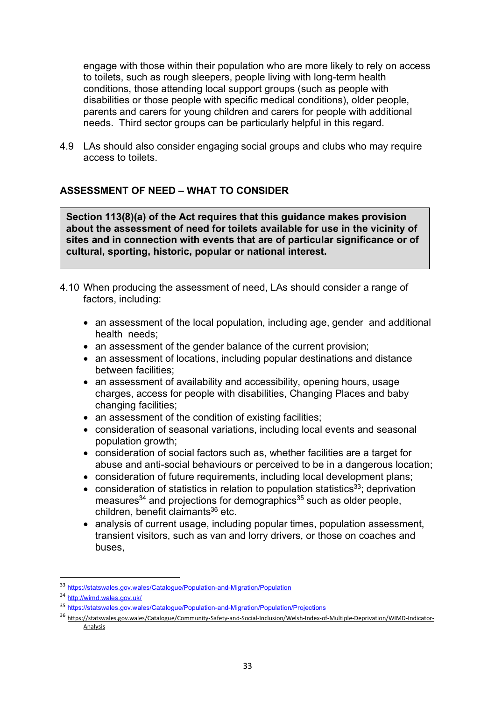engage with those within their population who are more likely to rely on access to toilets, such as rough sleepers, people living with long-term health conditions, those attending local support groups (such as people with disabilities or those people with specific medical conditions), older people, parents and carers for young children and carers for people with additional needs. Third sector groups can be particularly helpful in this regard.

4.9 LAs should also consider engaging social groups and clubs who may require access to toilets.

## **ASSESSMENT OF NEED – WHAT TO CONSIDER**

**Section 113(8)(a) of the Act requires that this guidance makes provision about the assessment of need for toilets available for use in the vicinity of sites and in connection with events that are of particular significance or of cultural, sporting, historic, popular or national interest.**

- 4.10 When producing the assessment of need, LAs should consider a range of factors, including:
	- an assessment of the local population, including age, gender and additional health needs;
	- an assessment of the gender balance of the current provision;
	- an assessment of locations, including popular destinations and distance between facilities;
	- an assessment of availability and accessibility, opening hours, usage charges, access for people with disabilities, Changing Places and baby changing facilities;
	- an assessment of the condition of existing facilities;
	- consideration of seasonal variations, including local events and seasonal population growth;
	- consideration of social factors such as, whether facilities are a target for abuse and anti-social behaviours or perceived to be in a dangerous location;
	- consideration of future requirements, including local development plans;
	- consideration of statistics in relation to population statistics<sup>33</sup>; deprivation measures $34$  and projections for demographics $35$  such as older people, children, benefit claimants<sup>36</sup> etc.
	- analysis of current usage, including popular times, population assessment, transient visitors, such as van and lorry drivers, or those on coaches and buses,

 <sup>33</sup> https://statswales.gov.wales/Catalogue/Population-and-Migration/Population

<sup>34</sup> http://wimd.wales.gov.uk/

<sup>35</sup> https://statswales.gov.wales/Catalogue/Population-and-Migration/Population/Projections

<sup>36</sup> https://statswales.gov.wales/Catalogue/Community-Safety-and-Social-Inclusion/Welsh-Index-of-Multiple-Deprivation/WIMD-Indicator-Analysis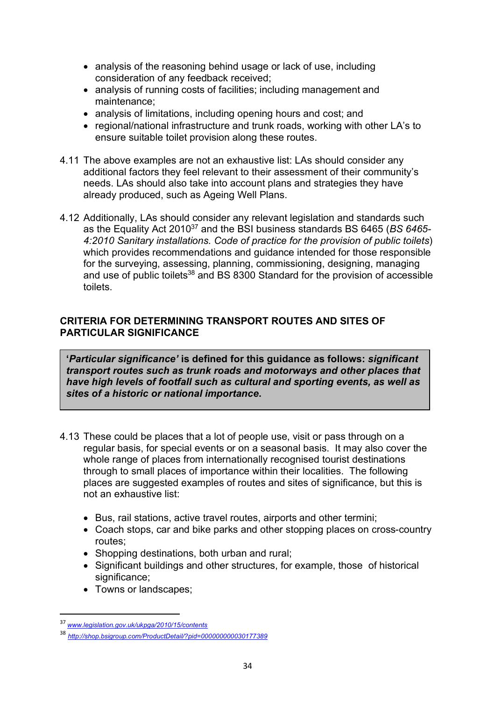- analysis of the reasoning behind usage or lack of use, including consideration of any feedback received;
- analysis of running costs of facilities; including management and maintenance;
- analysis of limitations, including opening hours and cost; and
- regional/national infrastructure and trunk roads, working with other LA's to ensure suitable toilet provision along these routes.
- 4.11 The above examples are not an exhaustive list: LAs should consider any additional factors they feel relevant to their assessment of their community's needs. LAs should also take into account plans and strategies they have already produced, such as Ageing Well Plans.
- 4.12 Additionally, LAs should consider any relevant legislation and standards such as the Equality Act 201037 and the BSI business standards BS 6465 (*BS 6465- 4:2010 Sanitary installations. Code of practice for the provision of public toilets*) which provides recommendations and guidance intended for those responsible for the surveying, assessing, planning, commissioning, designing, managing and use of public toilets<sup>38</sup> and BS 8300 Standard for the provision of accessible toilets.

## **CRITERIA FOR DETERMINING TRANSPORT ROUTES AND SITES OF PARTICULAR SIGNIFICANCE**

**'***Particular significance'* **is defined for this guidance as follows:** *significant transport routes such as trunk roads and motorways and other places that have high levels of footfall such as cultural and sporting events, as well as sites of a historic or national importance***.**

- 4.13 These could be places that a lot of people use, visit or pass through on a regular basis, for special events or on a seasonal basis. It may also cover the whole range of places from internationally recognised tourist destinations through to small places of importance within their localities. The following places are suggested examples of routes and sites of significance, but this is not an exhaustive list:
	- Bus, rail stations, active travel routes, airports and other termini;
	- Coach stops, car and bike parks and other stopping places on cross-country routes;
	- Shopping destinations, both urban and rural:
	- Significant buildings and other structures, for example, those of historical significance:
	- Towns or landscapes;

 <sup>37</sup> *www.legislation.gov.uk/ukpga/2010/15/contents*

<sup>38</sup> *http://shop.bsigroup.com/ProductDetail/?pid=000000000030177389*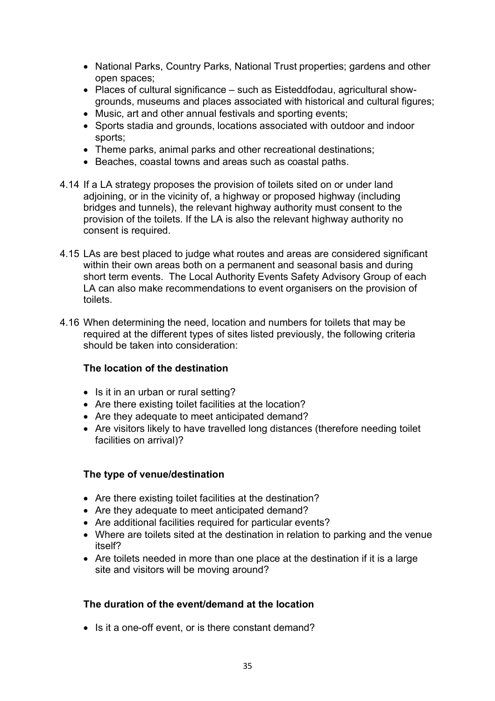- National Parks, Country Parks, National Trust properties; gardens and other open spaces;
- Places of cultural significance such as Eisteddfodau, agricultural showgrounds, museums and places associated with historical and cultural figures;
- Music, art and other annual festivals and sporting events;
- Sports stadia and grounds, locations associated with outdoor and indoor sports;
- Theme parks, animal parks and other recreational destinations;
- Beaches, coastal towns and areas such as coastal paths.
- 4.14 If a LA strategy proposes the provision of toilets sited on or under land adioining, or in the vicinity of, a highway or proposed highway (including bridges and tunnels), the relevant highway authority must consent to the provision of the toilets. If the LA is also the relevant highway authority no consent is required.
- 4.15 LAs are best placed to judge what routes and areas are considered significant within their own areas both on a permanent and seasonal basis and during short term events. The Local Authority Events Safety Advisory Group of each LA can also make recommendations to event organisers on the provision of toilets.
- 4.16 When determining the need, location and numbers for toilets that may be required at the different types of sites listed previously, the following criteria should be taken into consideration:

## **The location of the destination**

- Is it in an urban or rural setting?
- Are there existing toilet facilities at the location?
- Are they adequate to meet anticipated demand?
- Are visitors likely to have travelled long distances (therefore needing toilet facilities on arrival)?

#### **The type of venue/destination**

- Are there existing toilet facilities at the destination?
- Are they adequate to meet anticipated demand?
- Are additional facilities required for particular events?
- Where are toilets sited at the destination in relation to parking and the venue itself?
- Are toilets needed in more than one place at the destination if it is a large site and visitors will be moving around?

#### **The duration of the event/demand at the location**

• Is it a one-off event, or is there constant demand?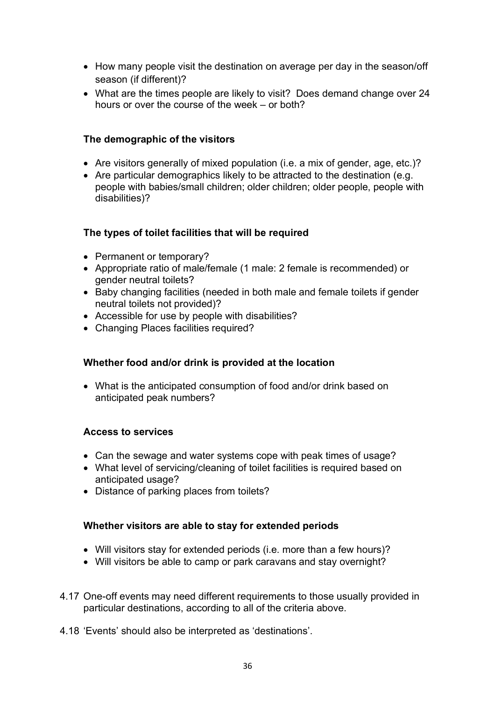- How many people visit the destination on average per day in the season/off season (if different)?
- What are the times people are likely to visit? Does demand change over 24 hours or over the course of the week – or both?

## **The demographic of the visitors**

- Are visitors generally of mixed population (i.e. a mix of gender, age, etc.)?
- Are particular demographics likely to be attracted to the destination (e.g. people with babies/small children; older children; older people, people with disabilities)?

## **The types of toilet facilities that will be required**

- Permanent or temporary?
- Appropriate ratio of male/female (1 male: 2 female is recommended) or gender neutral toilets?
- Baby changing facilities (needed in both male and female toilets if gender neutral toilets not provided)?
- Accessible for use by people with disabilities?
- Changing Places facilities required?

## **Whether food and/or drink is provided at the location**

• What is the anticipated consumption of food and/or drink based on anticipated peak numbers?

#### **Access to services**

- Can the sewage and water systems cope with peak times of usage?
- What level of servicing/cleaning of toilet facilities is required based on anticipated usage?
- Distance of parking places from toilets?

## **Whether visitors are able to stay for extended periods**

- Will visitors stay for extended periods (i.e. more than a few hours)?
- Will visitors be able to camp or park caravans and stay overnight?
- 4.17 One-off events may need different requirements to those usually provided in particular destinations, according to all of the criteria above.
- 4.18 'Events' should also be interpreted as 'destinations'.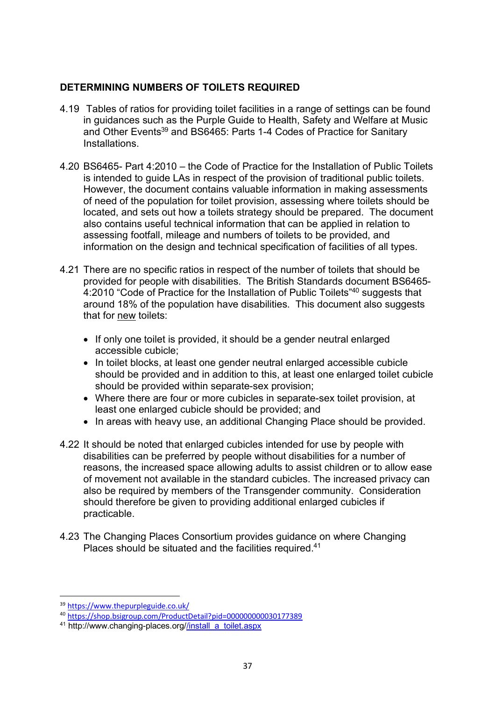### **DETERMINING NUMBERS OF TOILETS REQUIRED**

- 4.19 Tables of ratios for providing toilet facilities in a range of settings can be found in guidances such as the Purple Guide to Health, Safety and Welfare at Music and Other Events<sup>39</sup> and BS6465: Parts 1-4 Codes of Practice for Sanitary Installations.
- 4.20 BS6465- Part 4:2010 the Code of Practice for the Installation of Public Toilets is intended to guide LAs in respect of the provision of traditional public toilets. However, the document contains valuable information in making assessments of need of the population for toilet provision, assessing where toilets should be located, and sets out how a toilets strategy should be prepared. The document also contains useful technical information that can be applied in relation to assessing footfall, mileage and numbers of toilets to be provided, and information on the design and technical specification of facilities of all types.
- 4.21 There are no specific ratios in respect of the number of toilets that should be provided for people with disabilities. The British Standards document BS6465- 4:2010 "Code of Practice for the Installation of Public Toilets"<sup>40</sup> suggests that around 18% of the population have disabilities. This document also suggests that for new toilets:
	- If only one toilet is provided, it should be a gender neutral enlarged accessible cubicle;
	- In toilet blocks, at least one gender neutral enlarged accessible cubicle should be provided and in addition to this, at least one enlarged toilet cubicle should be provided within separate-sex provision;
	- Where there are four or more cubicles in separate-sex toilet provision, at least one enlarged cubicle should be provided; and
	- In areas with heavy use, an additional Changing Place should be provided.
- 4.22 It should be noted that enlarged cubicles intended for use by people with disabilities can be preferred by people without disabilities for a number of reasons, the increased space allowing adults to assist children or to allow ease of movement not available in the standard cubicles. The increased privacy can also be required by members of the Transgender community. Consideration should therefore be given to providing additional enlarged cubicles if practicable.
- 4.23 The Changing Places Consortium provides guidance on where Changing Places should be situated and the facilities required.<sup>41</sup>

 <sup>39</sup> https://www.thepurpleguide.co.uk/

<sup>40</sup> https://shop.bsigroup.com/ProductDetail?pid=000000000030177389

<sup>&</sup>lt;sup>41</sup> http://www.changing-places.org//install\_a\_toilet.aspx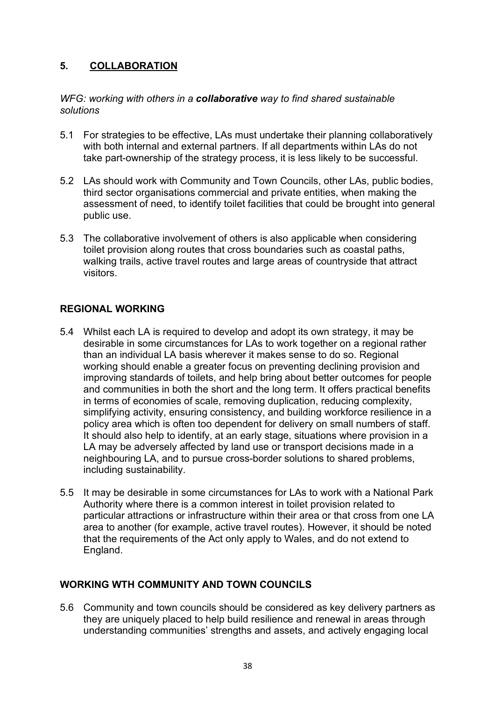# **5. COLLABORATION**

#### *WFG: working with others in a collaborative way to find shared sustainable solutions*

- 5.1 For strategies to be effective, LAs must undertake their planning collaboratively with both internal and external partners. If all departments within LAs do not take part-ownership of the strategy process, it is less likely to be successful.
- 5.2 LAs should work with Community and Town Councils, other LAs, public bodies, third sector organisations commercial and private entities, when making the assessment of need, to identify toilet facilities that could be brought into general public use.
- 5.3 The collaborative involvement of others is also applicable when considering toilet provision along routes that cross boundaries such as coastal paths, walking trails, active travel routes and large areas of countryside that attract visitors.

#### **REGIONAL WORKING**

- 5.4 Whilst each LA is required to develop and adopt its own strategy, it may be desirable in some circumstances for LAs to work together on a regional rather than an individual LA basis wherever it makes sense to do so. Regional working should enable a greater focus on preventing declining provision and improving standards of toilets, and help bring about better outcomes for people and communities in both the short and the long term. It offers practical benefits in terms of economies of scale, removing duplication, reducing complexity, simplifying activity, ensuring consistency, and building workforce resilience in a policy area which is often too dependent for delivery on small numbers of staff. It should also help to identify, at an early stage, situations where provision in a LA may be adversely affected by land use or transport decisions made in a neighbouring LA, and to pursue cross-border solutions to shared problems, including sustainability.
- 5.5 It may be desirable in some circumstances for LAs to work with a National Park Authority where there is a common interest in toilet provision related to particular attractions or infrastructure within their area or that cross from one LA area to another (for example, active travel routes). However, it should be noted that the requirements of the Act only apply to Wales, and do not extend to England.

## **WORKING WTH COMMUNITY AND TOWN COUNCILS**

5.6 Community and town councils should be considered as key delivery partners as they are uniquely placed to help build resilience and renewal in areas through understanding communities' strengths and assets, and actively engaging local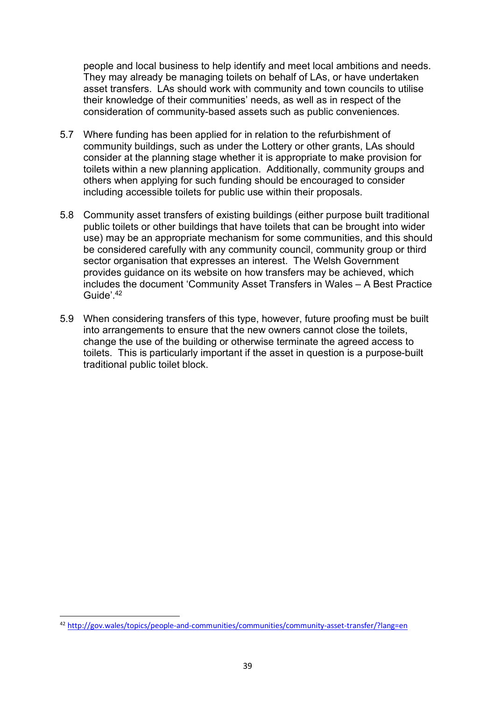people and local business to help identify and meet local ambitions and needs. They may already be managing toilets on behalf of LAs, or have undertaken asset transfers. LAs should work with community and town councils to utilise their knowledge of their communities' needs, as well as in respect of the consideration of community-based assets such as public conveniences.

- 5.7 Where funding has been applied for in relation to the refurbishment of community buildings, such as under the Lottery or other grants, LAs should consider at the planning stage whether it is appropriate to make provision for toilets within a new planning application. Additionally, community groups and others when applying for such funding should be encouraged to consider including accessible toilets for public use within their proposals.
- 5.8 Community asset transfers of existing buildings (either purpose built traditional public toilets or other buildings that have toilets that can be brought into wider use) may be an appropriate mechanism for some communities, and this should be considered carefully with any community council, community group or third sector organisation that expresses an interest. The Welsh Government provides guidance on its website on how transfers may be achieved, which includes the document 'Community Asset Transfers in Wales – A Best Practice Guide'. 42
- 5.9 When considering transfers of this type, however, future proofing must be built into arrangements to ensure that the new owners cannot close the toilets, change the use of the building or otherwise terminate the agreed access to toilets. This is particularly important if the asset in question is a purpose-built traditional public toilet block.

 <sup>42</sup> http://gov.wales/topics/people-and-communities/communities/community-asset-transfer/?lang=en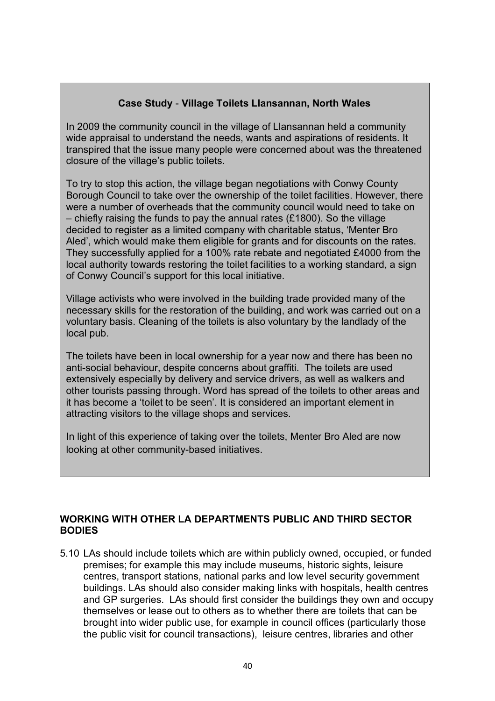# **Case Study** - **Village Toilets Llansannan, North Wales**

In 2009 the community council in the village of Llansannan held a community wide appraisal to understand the needs, wants and aspirations of residents. It transpired that the issue many people were concerned about was the threatened closure of the village's public toilets.

To try to stop this action, the village began negotiations with Conwy County Borough Council to take over the ownership of the toilet facilities. However, there were a number of overheads that the community council would need to take on – chiefly raising the funds to pay the annual rates (£1800). So the village decided to register as a limited company with charitable status, 'Menter Bro Aled', which would make them eligible for grants and for discounts on the rates. They successfully applied for a 100% rate rebate and negotiated £4000 from the local authority towards restoring the toilet facilities to a working standard, a sign of Conwy Council's support for this local initiative.

Village activists who were involved in the building trade provided many of the necessary skills for the restoration of the building, and work was carried out on a voluntary basis. Cleaning of the toilets is also voluntary by the landlady of the local pub.

The toilets have been in local ownership for a year now and there has been no anti-social behaviour, despite concerns about graffiti. The toilets are used extensively especially by delivery and service drivers, as well as walkers and other tourists passing through. Word has spread of the toilets to other areas and it has become a 'toilet to be seen'. It is considered an important element in attracting visitors to the village shops and services.

In light of this experience of taking over the toilets, Menter Bro Aled are now looking at other community-based initiatives.

## **WORKING WITH OTHER LA DEPARTMENTS PUBLIC AND THIRD SECTOR BODIES**

5.10 LAs should include toilets which are within publicly owned, occupied, or funded premises; for example this may include museums, historic sights, leisure centres, transport stations, national parks and low level security government buildings. LAs should also consider making links with hospitals, health centres and GP surgeries. LAs should first consider the buildings they own and occupy themselves or lease out to others as to whether there are toilets that can be brought into wider public use, for example in council offices (particularly those the public visit for council transactions), leisure centres, libraries and other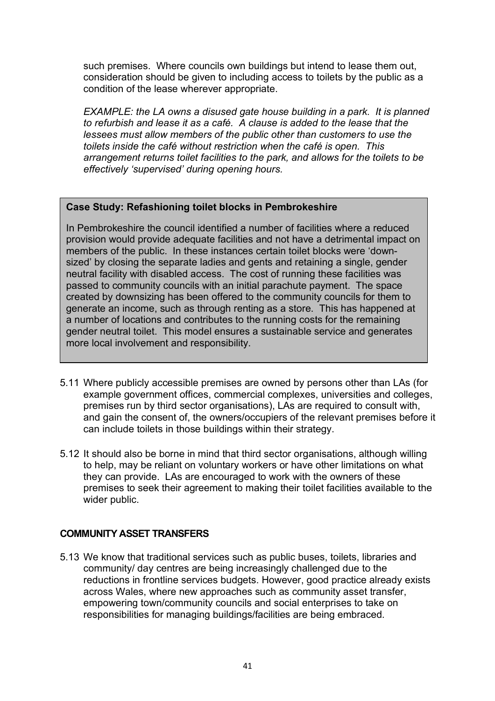such premises. Where councils own buildings but intend to lease them out, consideration should be given to including access to toilets by the public as a condition of the lease wherever appropriate.

*EXAMPLE: the LA owns a disused gate house building in a park. It is planned to refurbish and lease it as a café. A clause is added to the lease that the lessees must allow members of the public other than customers to use the toilets inside the café without restriction when the café is open. This arrangement returns toilet facilities to the park, and allows for the toilets to be effectively 'supervised' during opening hours.* 

#### **Case Study: Refashioning toilet blocks in Pembrokeshire**

In Pembrokeshire the council identified a number of facilities where a reduced provision would provide adequate facilities and not have a detrimental impact on members of the public. In these instances certain toilet blocks were 'downsized' by closing the separate ladies and gents and retaining a single, gender neutral facility with disabled access. The cost of running these facilities was passed to community councils with an initial parachute payment. The space created by downsizing has been offered to the community councils for them to generate an income, such as through renting as a store. This has happened at a number of locations and contributes to the running costs for the remaining gender neutral toilet. This model ensures a sustainable service and generates more local involvement and responsibility.

- 5.11 Where publicly accessible premises are owned by persons other than LAs (for example government offices, commercial complexes, universities and colleges, premises run by third sector organisations), LAs are required to consult with, and gain the consent of, the owners/occupiers of the relevant premises before it can include toilets in those buildings within their strategy.
- 5.12 It should also be borne in mind that third sector organisations, although willing to help, may be reliant on voluntary workers or have other limitations on what they can provide. LAs are encouraged to work with the owners of these premises to seek their agreement to making their toilet facilities available to the wider public.

## **COMMUNITY ASSET TRANSFERS**

5.13 We know that traditional services such as public buses, toilets, libraries and community/ day centres are being increasingly challenged due to the reductions in frontline services budgets. However, good practice already exists across Wales, where new approaches such as community asset transfer, empowering town/community councils and social enterprises to take on responsibilities for managing buildings/facilities are being embraced.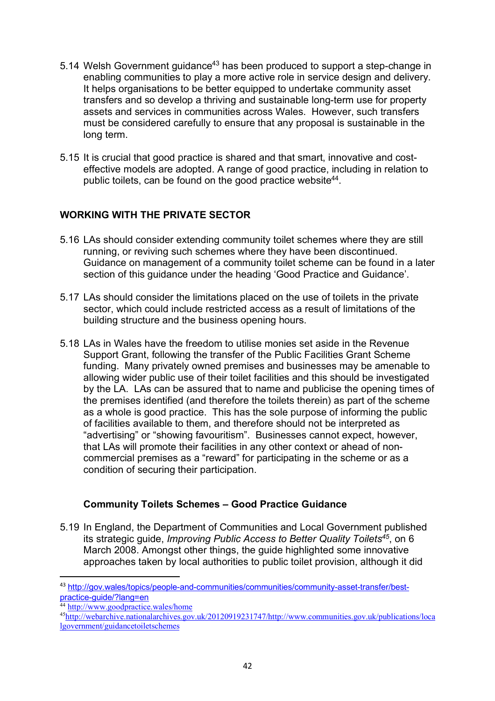- 5.14 Welsh Government guidance<sup>43</sup> has been produced to support a step-change in enabling communities to play a more active role in service design and delivery. It helps organisations to be better equipped to undertake community asset transfers and so develop a thriving and sustainable long-term use for property assets and services in communities across Wales. However, such transfers must be considered carefully to ensure that any proposal is sustainable in the long term.
- 5.15 It is crucial that good practice is shared and that smart, innovative and costeffective models are adopted. A range of good practice, including in relation to public toilets, can be found on the good practice website<sup>44</sup>.

# **WORKING WITH THE PRIVATE SECTOR**

- 5.16 LAs should consider extending community toilet schemes where they are still running, or reviving such schemes where they have been discontinued. Guidance on management of a community toilet scheme can be found in a later section of this guidance under the heading 'Good Practice and Guidance'.
- 5.17 LAs should consider the limitations placed on the use of toilets in the private sector, which could include restricted access as a result of limitations of the building structure and the business opening hours.
- 5.18 LAs in Wales have the freedom to utilise monies set aside in the Revenue Support Grant, following the transfer of the Public Facilities Grant Scheme funding. Many privately owned premises and businesses may be amenable to allowing wider public use of their toilet facilities and this should be investigated by the LA. LAs can be assured that to name and publicise the opening times of the premises identified (and therefore the toilets therein) as part of the scheme as a whole is good practice. This has the sole purpose of informing the public of facilities available to them, and therefore should not be interpreted as "advertising" or "showing favouritism". Businesses cannot expect, however, that LAs will promote their facilities in any other context or ahead of noncommercial premises as a "reward" for participating in the scheme or as a condition of securing their participation.

## **Community Toilets Schemes – Good Practice Guidance**

5.19 In England, the Department of Communities and Local Government published its strategic guide, *Improving Public Access to Better Quality Toilets45*, on 6 March 2008. Amongst other things, the guide highlighted some innovative approaches taken by local authorities to public toilet provision, although it did

 <sup>43</sup> http://gov.wales/topics/people-and-communities/communities/community-asset-transfer/bestpractice-guide/?lang=en

<sup>&</sup>lt;sup>44</sup> http://www.goodpractice.wales/home

<sup>45</sup>http://webarchive.nationalarchives.gov.uk/20120919231747/http://www.communities.gov.uk/publications/loca lgovernment/guidancetoiletschemes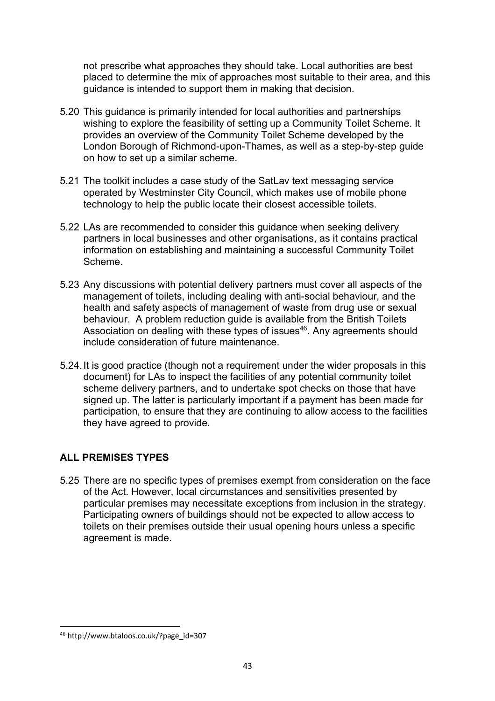not prescribe what approaches they should take. Local authorities are best placed to determine the mix of approaches most suitable to their area, and this guidance is intended to support them in making that decision.

- 5.20 This guidance is primarily intended for local authorities and partnerships wishing to explore the feasibility of setting up a Community Toilet Scheme. It provides an overview of the Community Toilet Scheme developed by the London Borough of Richmond-upon-Thames, as well as a step-by-step guide on how to set up a similar scheme.
- 5.21 The toolkit includes a case study of the SatLav text messaging service operated by Westminster City Council, which makes use of mobile phone technology to help the public locate their closest accessible toilets.
- 5.22 LAs are recommended to consider this guidance when seeking delivery partners in local businesses and other organisations, as it contains practical information on establishing and maintaining a successful Community Toilet Scheme.
- 5.23 Any discussions with potential delivery partners must cover all aspects of the management of toilets, including dealing with anti-social behaviour, and the health and safety aspects of management of waste from drug use or sexual behaviour. A problem reduction guide is available from the British Toilets Association on dealing with these types of issues<sup>46</sup>. Any agreements should include consideration of future maintenance.
- 5.24.It is good practice (though not a requirement under the wider proposals in this document) for LAs to inspect the facilities of any potential community toilet scheme delivery partners, and to undertake spot checks on those that have signed up. The latter is particularly important if a payment has been made for participation, to ensure that they are continuing to allow access to the facilities they have agreed to provide.

# **ALL PREMISES TYPES**

5.25 There are no specific types of premises exempt from consideration on the face of the Act. However, local circumstances and sensitivities presented by particular premises may necessitate exceptions from inclusion in the strategy. Participating owners of buildings should not be expected to allow access to toilets on their premises outside their usual opening hours unless a specific agreement is made.

 <sup>46</sup> http://www.btaloos.co.uk/?page\_id=307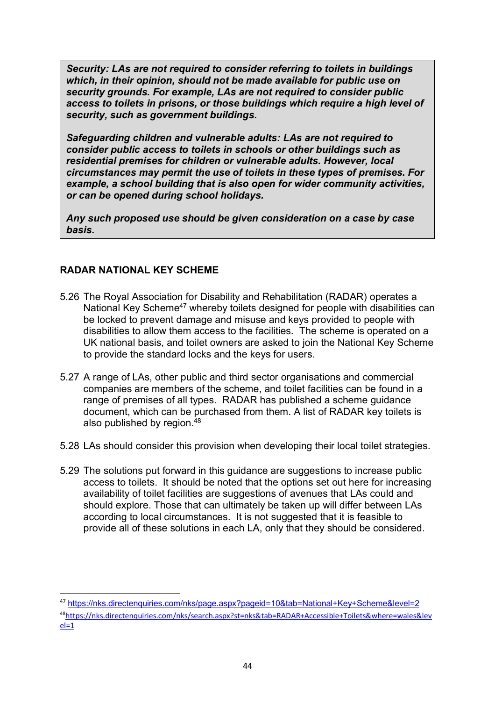*Security: LAs are not required to consider referring to toilets in buildings which, in their opinion, should not be made available for public use on security grounds. For example, LAs are not required to consider public access to toilets in prisons, or those buildings which require a high level of security, such as government buildings.*

*Safeguarding children and vulnerable adults: LAs are not required to consider public access to toilets in schools or other buildings such as residential premises for children or vulnerable adults. However, local circumstances may permit the use of toilets in these types of premises. For example, a school building that is also open for wider community activities, or can be opened during school holidays.* 

*Any such proposed use should be given consideration on a case by case basis.*

## **RADAR NATIONAL KEY SCHEME**

- 5.26 The Royal Association for Disability and Rehabilitation (RADAR) operates a National Key Scheme<sup>47</sup> whereby toilets designed for people with disabilities can be locked to prevent damage and misuse and keys provided to people with disabilities to allow them access to the facilities. The scheme is operated on a UK national basis, and toilet owners are asked to join the National Key Scheme to provide the standard locks and the keys for users.
- 5.27 A range of LAs, other public and third sector organisations and commercial companies are members of the scheme, and toilet facilities can be found in a range of premises of all types. RADAR has published a scheme guidance document, which can be purchased from them. A list of RADAR key toilets is also published by region.<sup>48</sup>
- 5.28 LAs should consider this provision when developing their local toilet strategies.
- 5.29 The solutions put forward in this guidance are suggestions to increase public access to toilets. It should be noted that the options set out here for increasing availability of toilet facilities are suggestions of avenues that LAs could and should explore. Those that can ultimately be taken up will differ between LAs according to local circumstances. It is not suggested that it is feasible to provide all of these solutions in each LA, only that they should be considered.

 <sup>47</sup> https://nks.directenquiries.com/nks/page.aspx?pageid=10&tab=National+Key+Scheme&level=2 48https://nks.directenquiries.com/nks/search.aspx?st=nks&tab=RADAR+Accessible+Toilets&where=wales&lev  $el=1$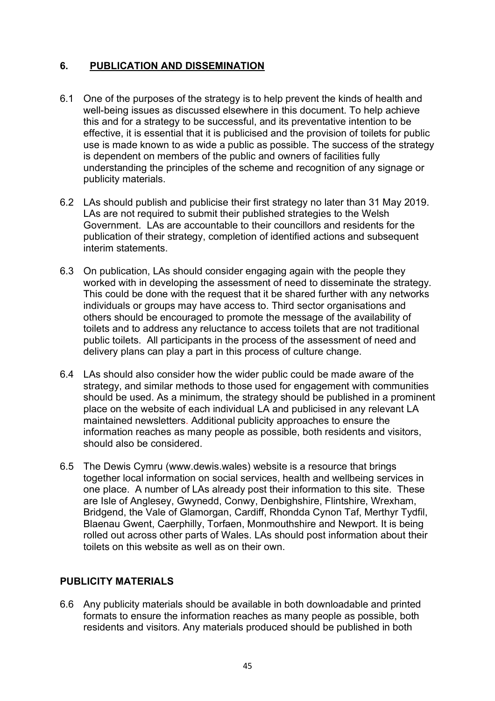# **6. PUBLICATION AND DISSEMINATION**

- 6.1 One of the purposes of the strategy is to help prevent the kinds of health and well-being issues as discussed elsewhere in this document. To help achieve this and for a strategy to be successful, and its preventative intention to be effective, it is essential that it is publicised and the provision of toilets for public use is made known to as wide a public as possible. The success of the strategy is dependent on members of the public and owners of facilities fully understanding the principles of the scheme and recognition of any signage or publicity materials.
- 6.2 LAs should publish and publicise their first strategy no later than 31 May 2019. LAs are not required to submit their published strategies to the Welsh Government. LAs are accountable to their councillors and residents for the publication of their strategy, completion of identified actions and subsequent interim statements.
- 6.3 On publication, LAs should consider engaging again with the people they worked with in developing the assessment of need to disseminate the strategy. This could be done with the request that it be shared further with any networks individuals or groups may have access to. Third sector organisations and others should be encouraged to promote the message of the availability of toilets and to address any reluctance to access toilets that are not traditional public toilets. All participants in the process of the assessment of need and delivery plans can play a part in this process of culture change.
- 6.4 LAs should also consider how the wider public could be made aware of the strategy, and similar methods to those used for engagement with communities should be used. As a minimum, the strategy should be published in a prominent place on the website of each individual LA and publicised in any relevant LA maintained newsletters. Additional publicity approaches to ensure the information reaches as many people as possible, both residents and visitors, should also be considered.
- 6.5 The Dewis Cymru (www.dewis.wales) website is a resource that brings together local information on social services, health and wellbeing services in one place. A number of LAs already post their information to this site. These are Isle of Anglesey, Gwynedd, Conwy, Denbighshire, Flintshire, Wrexham, Bridgend, the Vale of Glamorgan, Cardiff, Rhondda Cynon Taf, Merthyr Tydfil, Blaenau Gwent, Caerphilly, Torfaen, Monmouthshire and Newport. It is being rolled out across other parts of Wales. LAs should post information about their toilets on this website as well as on their own.

## **PUBLICITY MATERIALS**

6.6 Any publicity materials should be available in both downloadable and printed formats to ensure the information reaches as many people as possible, both residents and visitors. Any materials produced should be published in both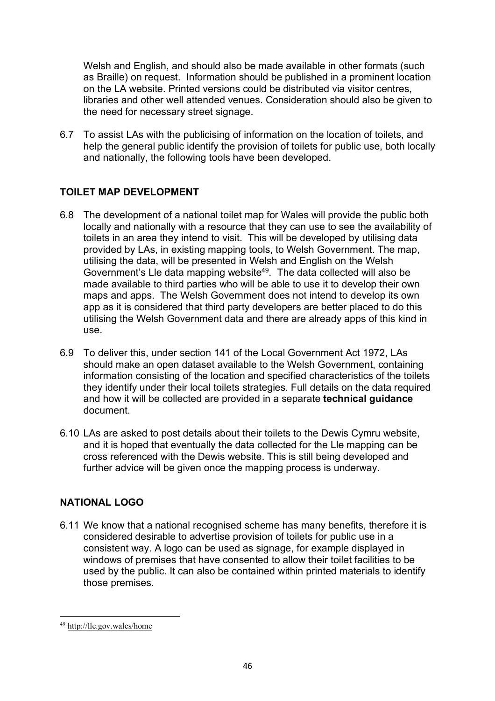Welsh and English, and should also be made available in other formats (such as Braille) on request. Information should be published in a prominent location on the LA website. Printed versions could be distributed via visitor centres, libraries and other well attended venues. Consideration should also be given to the need for necessary street signage.

6.7 To assist LAs with the publicising of information on the location of toilets, and help the general public identify the provision of toilets for public use, both locally and nationally, the following tools have been developed.

# **TOILET MAP DEVELOPMENT**

- 6.8 The development of a national toilet map for Wales will provide the public both locally and nationally with a resource that they can use to see the availability of toilets in an area they intend to visit. This will be developed by utilising data provided by LAs, in existing mapping tools, to Welsh Government. The map, utilising the data, will be presented in Welsh and English on the Welsh Government's Lle data mapping website49. The data collected will also be made available to third parties who will be able to use it to develop their own maps and apps. The Welsh Government does not intend to develop its own app as it is considered that third party developers are better placed to do this utilising the Welsh Government data and there are already apps of this kind in use.
- 6.9 To deliver this, under section 141 of the Local Government Act 1972, LAs should make an open dataset available to the Welsh Government, containing information consisting of the location and specified characteristics of the toilets they identify under their local toilets strategies. Full details on the data required and how it will be collected are provided in a separate **technical guidance** document.
- 6.10 LAs are asked to post details about their toilets to the Dewis Cymru website, and it is hoped that eventually the data collected for the Lle mapping can be cross referenced with the Dewis website. This is still being developed and further advice will be given once the mapping process is underway.

## **NATIONAL LOGO**

6.11 We know that a national recognised scheme has many benefits, therefore it is considered desirable to advertise provision of toilets for public use in a consistent way. A logo can be used as signage, for example displayed in windows of premises that have consented to allow their toilet facilities to be used by the public. It can also be contained within printed materials to identify those premises.

 $\overline{a}$ <sup>49</sup> http://lle.gov.wales/home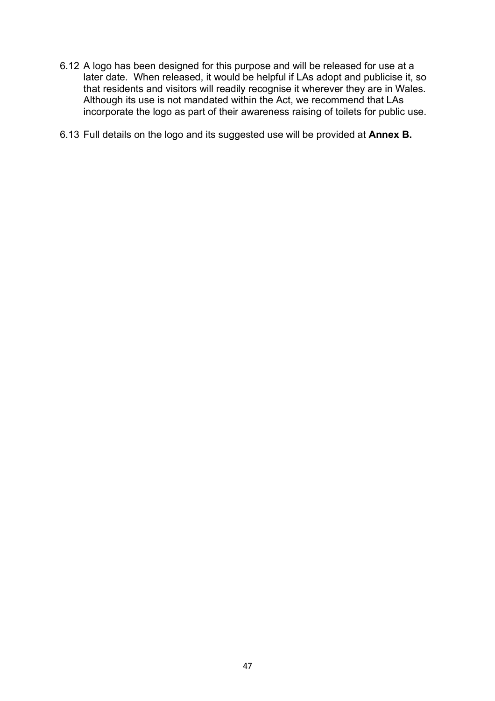- 6.12 A logo has been designed for this purpose and will be released for use at a later date. When released, it would be helpful if LAs adopt and publicise it, so that residents and visitors will readily recognise it wherever they are in Wales. Although its use is not mandated within the Act, we recommend that LAs incorporate the logo as part of their awareness raising of toilets for public use.
- 6.13 Full details on the logo and its suggested use will be provided at **Annex B.**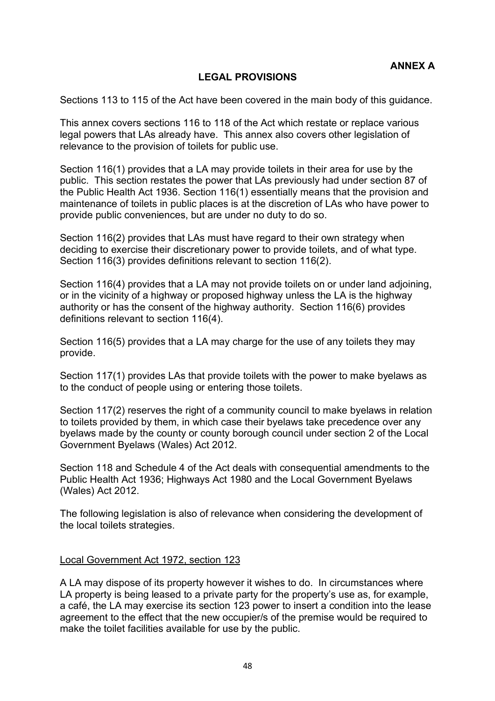### **LEGAL PROVISIONS**

Sections 113 to 115 of the Act have been covered in the main body of this guidance.

This annex covers sections 116 to 118 of the Act which restate or replace various legal powers that LAs already have. This annex also covers other legislation of relevance to the provision of toilets for public use.

Section 116(1) provides that a LA may provide toilets in their area for use by the public. This section restates the power that LAs previously had under section 87 of the Public Health Act 1936. Section 116(1) essentially means that the provision and maintenance of toilets in public places is at the discretion of LAs who have power to provide public conveniences, but are under no duty to do so.

Section 116(2) provides that LAs must have regard to their own strategy when deciding to exercise their discretionary power to provide toilets, and of what type. Section 116(3) provides definitions relevant to section 116(2).

Section 116(4) provides that a LA may not provide toilets on or under land adjoining, or in the vicinity of a highway or proposed highway unless the LA is the highway authority or has the consent of the highway authority. Section 116(6) provides definitions relevant to section 116(4).

Section 116(5) provides that a LA may charge for the use of any toilets they may provide.

Section 117(1) provides LAs that provide toilets with the power to make byelaws as to the conduct of people using or entering those toilets.

Section 117(2) reserves the right of a community council to make byelaws in relation to toilets provided by them, in which case their byelaws take precedence over any byelaws made by the county or county borough council under section 2 of the Local Government Byelaws (Wales) Act 2012.

Section 118 and Schedule 4 of the Act deals with consequential amendments to the Public Health Act 1936; Highways Act 1980 and the Local Government Byelaws (Wales) Act 2012.

The following legislation is also of relevance when considering the development of the local toilets strategies.

#### Local Government Act 1972, section 123

A LA may dispose of its property however it wishes to do. In circumstances where LA property is being leased to a private party for the property's use as, for example, a café, the LA may exercise its section 123 power to insert a condition into the lease agreement to the effect that the new occupier/s of the premise would be required to make the toilet facilities available for use by the public.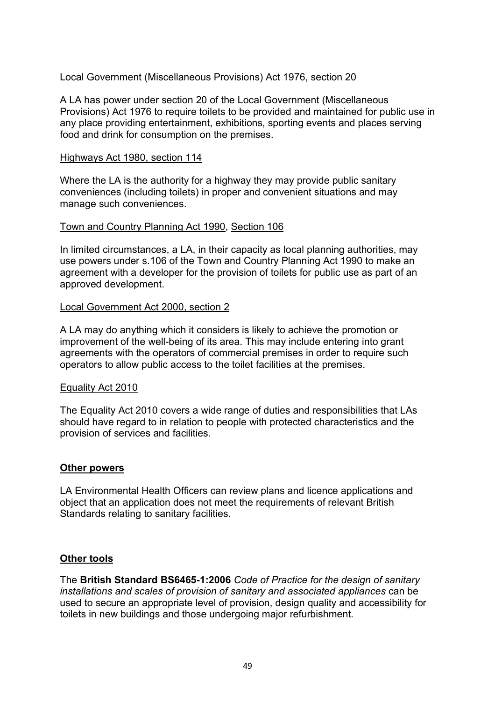#### Local Government (Miscellaneous Provisions) Act 1976, section 20

A LA has power under section 20 of the Local Government (Miscellaneous Provisions) Act 1976 to require toilets to be provided and maintained for public use in any place providing entertainment, exhibitions, sporting events and places serving food and drink for consumption on the premises.

#### Highways Act 1980, section 114

Where the LA is the authority for a highway they may provide public sanitary conveniences (including toilets) in proper and convenient situations and may manage such conveniences.

#### Town and Country Planning Act 1990, Section 106

In limited circumstances, a LA, in their capacity as local planning authorities, may use powers under s.106 of the Town and Country Planning Act 1990 to make an agreement with a developer for the provision of toilets for public use as part of an approved development.

#### Local Government Act 2000, section 2

A LA may do anything which it considers is likely to achieve the promotion or improvement of the well-being of its area. This may include entering into grant agreements with the operators of commercial premises in order to require such operators to allow public access to the toilet facilities at the premises.

#### Equality Act 2010

The Equality Act 2010 covers a wide range of duties and responsibilities that LAs should have regard to in relation to people with protected characteristics and the provision of services and facilities.

#### **Other powers**

LA Environmental Health Officers can review plans and licence applications and object that an application does not meet the requirements of relevant British Standards relating to sanitary facilities.

#### **Other tools**

The **British Standard BS6465-1:2006** *Code of Practice for the design of sanitary installations and scales of provision of sanitary and associated appliances* can be used to secure an appropriate level of provision, design quality and accessibility for toilets in new buildings and those undergoing major refurbishment.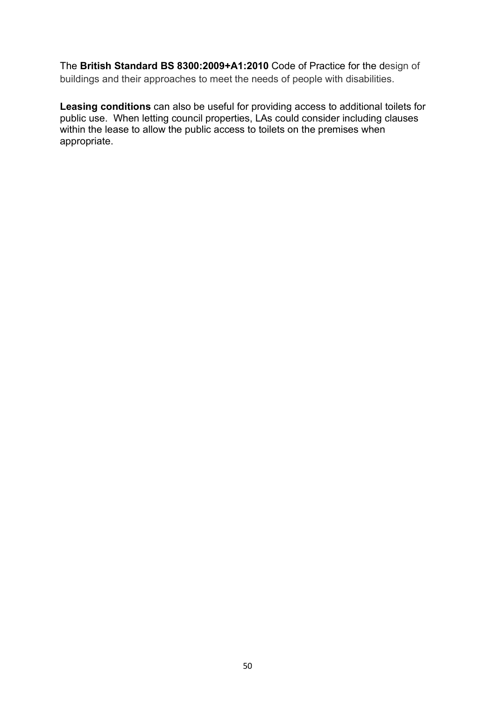The **British Standard BS 8300:2009+A1:2010** Code of Practice for the design of buildings and their approaches to meet the needs of people with disabilities.

**Leasing conditions** can also be useful for providing access to additional toilets for public use. When letting council properties, LAs could consider including clauses within the lease to allow the public access to toilets on the premises when appropriate.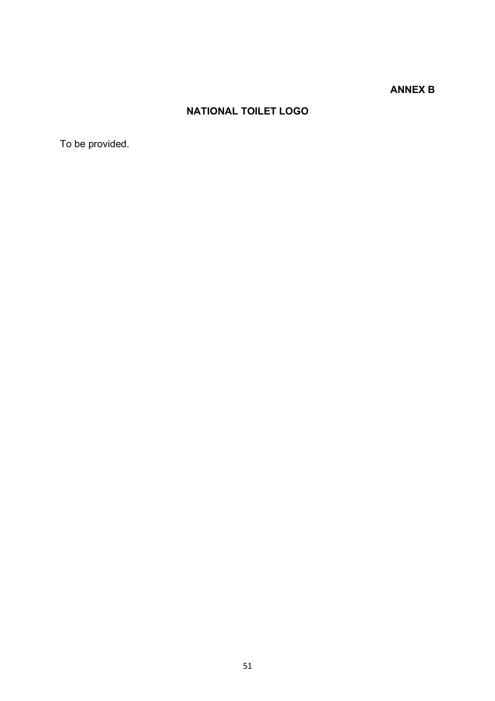# **ANNEX B**

# **NATIONAL TOILET LOGO**

To be provided.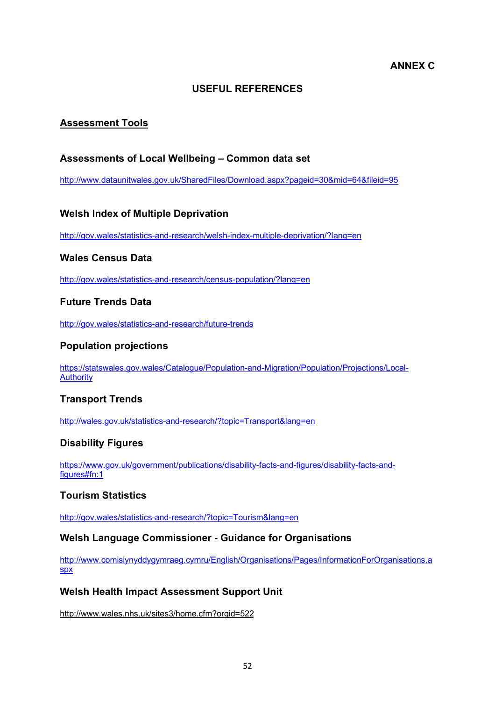#### **ANNEX C**

#### **USEFUL REFERENCES**

## **Assessment Tools**

#### **Assessments of Local Wellbeing – Common data set**

http://www.dataunitwales.gov.uk/SharedFiles/Download.aspx?pageid=30&mid=64&fileid=95

#### **Welsh Index of Multiple Deprivation**

http://gov.wales/statistics-and-research/welsh-index-multiple-deprivation/?lang=en

#### **Wales Census Data**

http://gov.wales/statistics-and-research/census-population/?lang=en

#### **Future Trends Data**

http://gov.wales/statistics-and-research/future-trends

#### **Population projections**

https://statswales.gov.wales/Catalogue/Population-and-Migration/Population/Projections/Local-**Authority** 

#### **Transport Trends**

http://wales.gov.uk/statistics-and-research/?topic=Transport&lang=en

#### **Disability Figures**

https://www.gov.uk/government/publications/disability-facts-and-figures/disability-facts-andfigures#fn:1

#### **Tourism Statistics**

http://gov.wales/statistics-and-research/?topic=Tourism&lang=en

#### **Welsh Language Commissioner - Guidance for Organisations**

http://www.comisiynyddygymraeg.cymru/English/Organisations/Pages/InformationForOrganisations.a spx

#### **Welsh Health Impact Assessment Support Unit**

http://www.wales.nhs.uk/sites3/home.cfm?orgid=522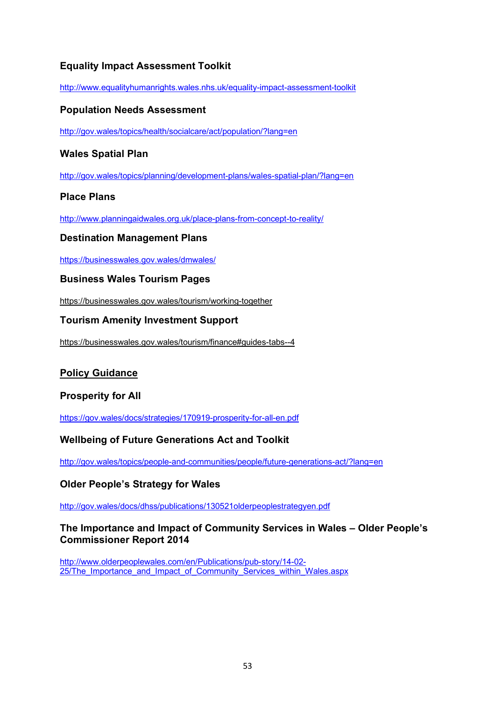# **Equality Impact Assessment Toolkit**

http://www.equalityhumanrights.wales.nhs.uk/equality-impact-assessment-toolkit

#### **Population Needs Assessment**

http://gov.wales/topics/health/socialcare/act/population/?lang=en

#### **Wales Spatial Plan**

http://gov.wales/topics/planning/development-plans/wales-spatial-plan/?lang=en

#### **Place Plans**

http://www.planningaidwales.org.uk/place-plans-from-concept-to-reality/

#### **Destination Management Plans**

https://businesswales.gov.wales/dmwales/

#### **Business Wales Tourism Pages**

https://businesswales.gov.wales/tourism/working-together

#### **Tourism Amenity Investment Support**

https://businesswales.gov.wales/tourism/finance#guides-tabs--4

#### **Policy Guidance**

#### **Prosperity for All**

https://gov.wales/docs/strategies/170919-prosperity-for-all-en.pdf

#### **Wellbeing of Future Generations Act and Toolkit**

http://gov.wales/topics/people-and-communities/people/future-generations-act/?lang=en

#### **Older People's Strategy for Wales**

http://gov.wales/docs/dhss/publications/130521olderpeoplestrategyen.pdf

#### **The Importance and Impact of Community Services in Wales – Older People's Commissioner Report 2014**

http://www.olderpeoplewales.com/en/Publications/pub-story/14-02- 25/The Importance and Impact of Community Services within Wales.aspx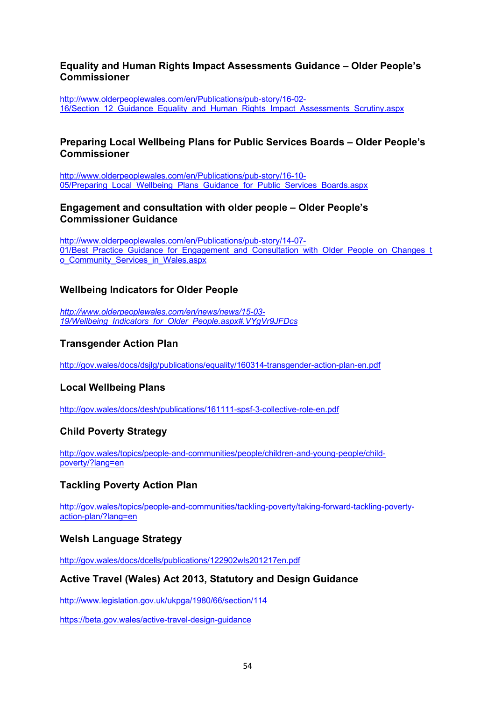#### **Equality and Human Rights Impact Assessments Guidance – Older People's Commissioner**

http://www.olderpeoplewales.com/en/Publications/pub-story/16-02- 16/Section\_12\_Guidance\_Equality\_and\_Human\_Rights\_Impact\_Assessments\_Scrutiny.aspx

#### **Preparing Local Wellbeing Plans for Public Services Boards – Older People's Commissioner**

http://www.olderpeoplewales.com/en/Publications/pub-story/16-10- 05/Preparing\_Local\_Wellbeing\_Plans\_Guidance\_for\_Public\_Services\_Boards.aspx

#### **Engagement and consultation with older people – Older People's Commissioner Guidance**

http://www.olderpeoplewales.com/en/Publications/pub-story/14-07- 01/Best\_Practice\_Guidance\_for\_Engagement\_and\_Consultation\_with\_Older\_People\_on\_Changes\_t o Community Services in Wales.aspx

#### **Wellbeing Indicators for Older People**

*http://www.olderpeoplewales.com/en/news/news/15-03- 19/Wellbeing\_Indicators\_for\_Older\_People.aspx#.VYgVr9JFDcs*

#### **Transgender Action Plan**

http://gov.wales/docs/dsjlg/publications/equality/160314-transgender-action-plan-en.pdf

#### **Local Wellbeing Plans**

http://gov.wales/docs/desh/publications/161111-spsf-3-collective-role-en.pdf

#### **Child Poverty Strategy**

http://gov.wales/topics/people-and-communities/people/children-and-young-people/childpoverty/?lang=en

#### **Tackling Poverty Action Plan**

http://gov.wales/topics/people-and-communities/tackling-poverty/taking-forward-tackling-povertyaction-plan/?lang=en

#### **Welsh Language Strategy**

http://gov.wales/docs/dcells/publications/122902wls201217en.pdf

#### **Active Travel (Wales) Act 2013, Statutory and Design Guidance**

http://www.legislation.gov.uk/ukpga/1980/66/section/114

https://beta.gov.wales/active-travel-design-guidance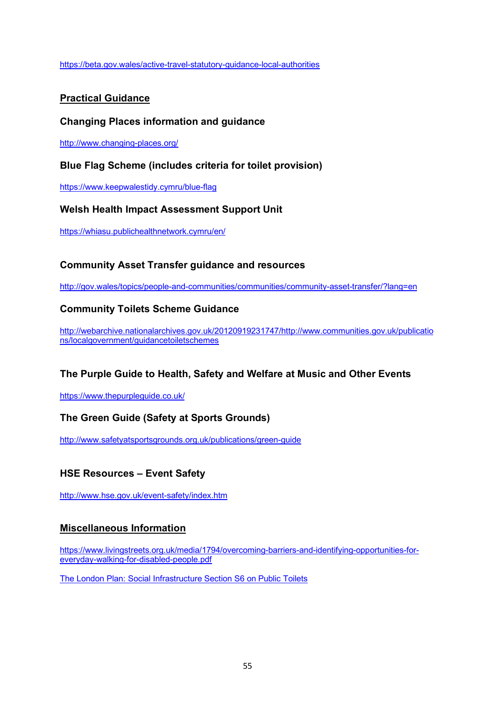https://beta.gov.wales/active-travel-statutory-guidance-local-authorities

#### **Practical Guidance**

#### **Changing Places information and guidance**

http://www.changing-places.org/

#### **Blue Flag Scheme (includes criteria for toilet provision)**

https://www.keepwalestidy.cymru/blue-flag

#### **Welsh Health Impact Assessment Support Unit**

https://whiasu.publichealthnetwork.cymru/en/

#### **Community Asset Transfer guidance and resources**

http://gov.wales/topics/people-and-communities/communities/community-asset-transfer/?lang=en

#### **Community Toilets Scheme Guidance**

http://webarchive.nationalarchives.gov.uk/20120919231747/http://www.communities.gov.uk/publicatio ns/localgovernment/guidancetoiletschemes

#### **The Purple Guide to Health, Safety and Welfare at Music and Other Events**

https://www.thepurpleguide.co.uk/

#### **The Green Guide (Safety at Sports Grounds)**

http://www.safetyatsportsgrounds.org.uk/publications/green-guide

#### **HSE Resources – Event Safety**

http://www.hse.gov.uk/event-safety/index.htm

#### **Miscellaneous Information**

https://www.livingstreets.org.uk/media/1794/overcoming-barriers-and-identifying-opportunities-foreveryday-walking-for-disabled-people.pdf

The London Plan: Social Infrastructure Section S6 on Public Toilets